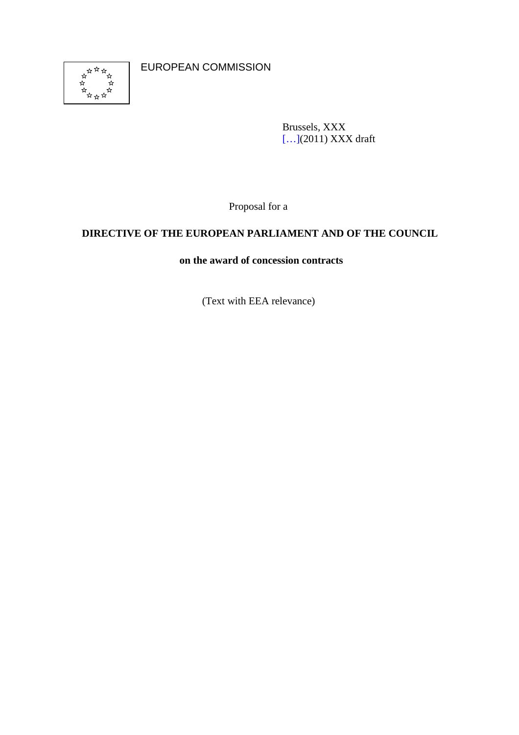

EUROPEAN COMMISSION

Brussels, XXX [...](2011) XXX draft

Proposal for a

## **DIRECTIVE OF THE EUROPEAN PARLIAMENT AND OF THE COUNCIL**

## **on the award of concession contracts**

(Text with EEA relevance)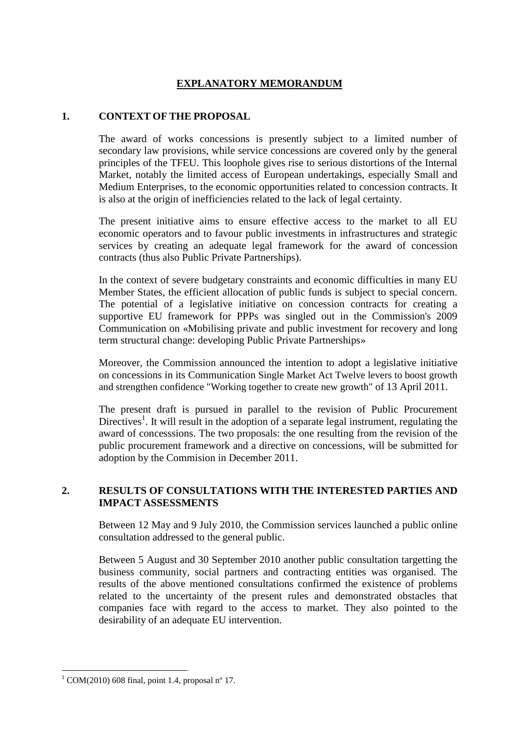## **EXPLANATORY MEMORANDUM**

#### **1. CONTEXT OF THE PROPOSAL**

The award of works concessions is presently subject to a limited number of secondary law provisions, while service concessions are covered only by the general principles of the TFEU. This loophole gives rise to serious distortions of the Internal Market, notably the limited access of European undertakings, especially Small and Medium Enterprises, to the economic opportunities related to concession contracts. It is also at the origin of inefficiencies related to the lack of legal certainty.

The present initiative aims to ensure effective access to the market to all EU economic operators and to favour public investments in infrastructures and strategic services by creating an adequate legal framework for the award of concession contracts (thus also Public Private Partnerships).

In the context of severe budgetary constraints and economic difficulties in many EU Member States, the efficient allocation of public funds is subject to special concern. The potential of a legislative initiative on concession contracts for creating a supportive EU framework for PPPs was singled out in the Commission's 2009 Communication on «Mobilising private and public investment for recovery and long term structural change: developing Public Private Partnerships»

Moreover, the Commission announced the intention to adopt a legislative initiative on concessions in its Communication Single Market Act Twelve levers to boost growth and strengthen confidence "Working together to create new growth" of 13 April 2011.

The present draft is pursued in parallel to the revision of Public Procurement Directives<sup>1</sup>. It will result in the adoption of a separate legal instrument, regulating the award of concesssions. The two proposals: the one resulting from the revision of the public procurement framework and a directive on concessions, will be submitted for adoption by the Commision in December 2011.

## **2. RESULTS OF CONSULTATIONS WITH THE INTERESTED PARTIES AND IMPACT ASSESSMENTS**

Between 12 May and 9 July 2010, the Commission services launched a public online consultation addressed to the general public.

Between 5 August and 30 September 2010 another public consultation targetting the business community, social partners and contracting entities was organised. The results of the above mentioned consultations confirmed the existence of problems related to the uncertainty of the present rules and demonstrated obstacles that companies face with regard to the access to market. They also pointed to the desirability of an adequate EU intervention.

 $\overline{a}$ 

 $1$  COM(2010) 608 final, point 1.4, proposal n° 17.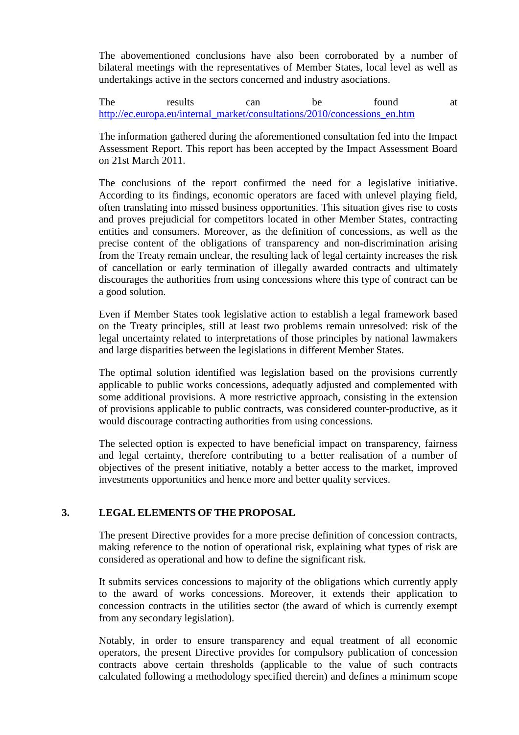The abovementioned conclusions have also been corroborated by a number of bilateral meetings with the representatives of Member States, local level as well as undertakings active in the sectors concerned and industry asociations.

The results can be found at http://ec.europa.eu/internal\_market/consultations/2010/concessions\_en.htm

The information gathered during the aforementioned consultation fed into the Impact Assessment Report. This report has been accepted by the Impact Assessment Board on 21st March 2011.

The conclusions of the report confirmed the need for a legislative initiative. According to its findings, economic operators are faced with unlevel playing field, often translating into missed business opportunities. This situation gives rise to costs and proves prejudicial for competitors located in other Member States, contracting entities and consumers. Moreover, as the definition of concessions, as well as the precise content of the obligations of transparency and non-discrimination arising from the Treaty remain unclear, the resulting lack of legal certainty increases the risk of cancellation or early termination of illegally awarded contracts and ultimately discourages the authorities from using concessions where this type of contract can be a good solution.

Even if Member States took legislative action to establish a legal framework based on the Treaty principles, still at least two problems remain unresolved: risk of the legal uncertainty related to interpretations of those principles by national lawmakers and large disparities between the legislations in different Member States.

The optimal solution identified was legislation based on the provisions currently applicable to public works concessions, adequatly adjusted and complemented with some additional provisions. A more restrictive approach, consisting in the extension of provisions applicable to public contracts, was considered counter-productive, as it would discourage contracting authorities from using concessions.

The selected option is expected to have beneficial impact on transparency, fairness and legal certainty, therefore contributing to a better realisation of a number of objectives of the present initiative, notably a better access to the market, improved investments opportunities and hence more and better quality services.

## **3. LEGAL ELEMENTS OF THE PROPOSAL**

The present Directive provides for a more precise definition of concession contracts, making reference to the notion of operational risk, explaining what types of risk are considered as operational and how to define the significant risk.

It submits services concessions to majority of the obligations which currently apply to the award of works concessions. Moreover, it extends their application to concession contracts in the utilities sector (the award of which is currently exempt from any secondary legislation).

Notably, in order to ensure transparency and equal treatment of all economic operators, the present Directive provides for compulsory publication of concession contracts above certain thresholds (applicable to the value of such contracts calculated following a methodology specified therein) and defines a minimum scope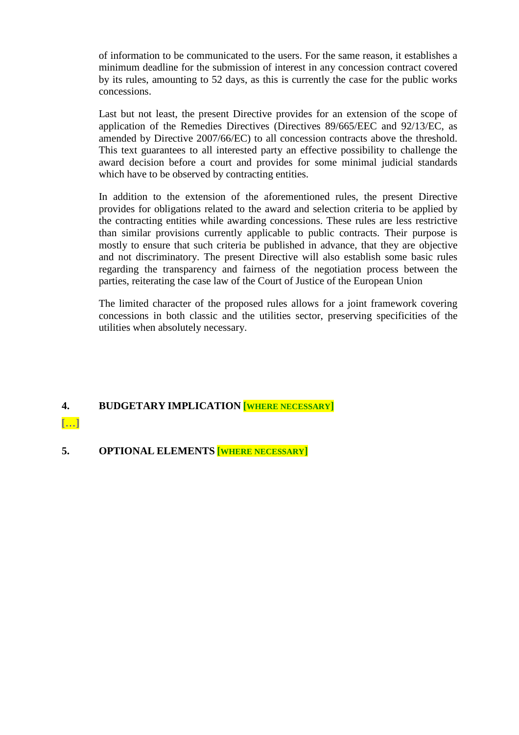of information to be communicated to the users. For the same reason, it establishes a minimum deadline for the submission of interest in any concession contract covered by its rules, amounting to 52 days, as this is currently the case for the public works concessions.

Last but not least, the present Directive provides for an extension of the scope of application of the Remedies Directives (Directives 89/665/EEC and 92/13/EC, as amended by Directive 2007/66/EC) to all concession contracts above the threshold. This text guarantees to all interested party an effective possibility to challenge the award decision before a court and provides for some minimal judicial standards which have to be observed by contracting entities.

In addition to the extension of the aforementioned rules, the present Directive provides for obligations related to the award and selection criteria to be applied by the contracting entities while awarding concessions. These rules are less restrictive than similar provisions currently applicable to public contracts. Their purpose is mostly to ensure that such criteria be published in advance, that they are objective and not discriminatory. The present Directive will also establish some basic rules regarding the transparency and fairness of the negotiation process between the parties, reiterating the case law of the Court of Justice of the European Union

The limited character of the proposed rules allows for a joint framework covering concessions in both classic and the utilities sector, preserving specificities of the utilities when absolutely necessary.

## **4. BUDGETARY IMPLICATION [WHERE NECESSARY]**

[…]

**5. OPTIONAL ELEMENTS [WHERE NECESSARY]**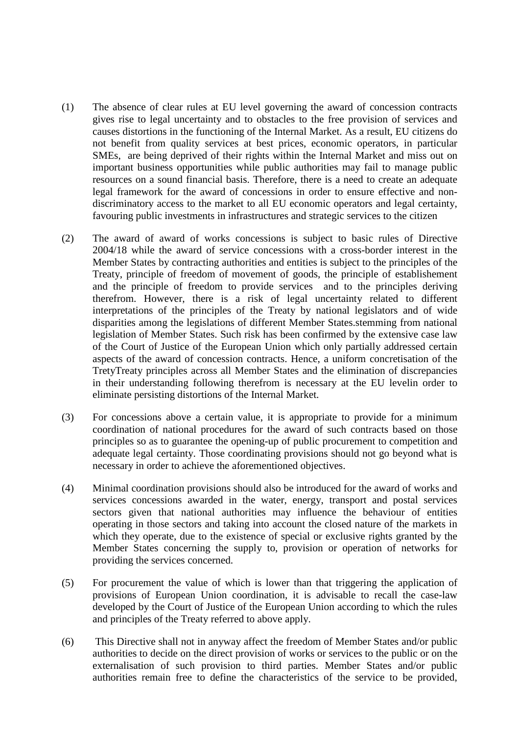- (1) The absence of clear rules at EU level governing the award of concession contracts gives rise to legal uncertainty and to obstacles to the free provision of services and causes distortions in the functioning of the Internal Market. As a result, EU citizens do not benefit from quality services at best prices, economic operators, in particular SMEs, are being deprived of their rights within the Internal Market and miss out on important business opportunities while public authorities may fail to manage public resources on a sound financial basis. Therefore, there is a need to create an adequate legal framework for the award of concessions in order to ensure effective and nondiscriminatory access to the market to all EU economic operators and legal certainty, favouring public investments in infrastructures and strategic services to the citizen
- (2) The award of award of works concessions is subject to basic rules of Directive 2004/18 while the award of service concessions with a cross-border interest in the Member States by contracting authorities and entities is subject to the principles of the Treaty, principle of freedom of movement of goods, the principle of establishement and the principle of freedom to provide services and to the principles deriving therefrom. However, there is a risk of legal uncertainty related to different interpretations of the principles of the Treaty by national legislators and of wide disparities among the legislations of different Member States.stemming from national legislation of Member States. Such risk has been confirmed by the extensive case law of the Court of Justice of the European Union which only partially addressed certain aspects of the award of concession contracts. Hence, a uniform concretisation of the TretyTreaty principles across all Member States and the elimination of discrepancies in their understanding following therefrom is necessary at the EU levelin order to eliminate persisting distortions of the Internal Market.
- (3) For concessions above a certain value, it is appropriate to provide for a minimum coordination of national procedures for the award of such contracts based on those principles so as to guarantee the opening-up of public procurement to competition and adequate legal certainty. Those coordinating provisions should not go beyond what is necessary in order to achieve the aforementioned objectives.
- (4) Minimal coordination provisions should also be introduced for the award of works and services concessions awarded in the water, energy, transport and postal services sectors given that national authorities may influence the behaviour of entities operating in those sectors and taking into account the closed nature of the markets in which they operate, due to the existence of special or exclusive rights granted by the Member States concerning the supply to, provision or operation of networks for providing the services concerned.
- (5) For procurement the value of which is lower than that triggering the application of provisions of European Union coordination, it is advisable to recall the case-law developed by the Court of Justice of the European Union according to which the rules and principles of the Treaty referred to above apply.
- (6) This Directive shall not in anyway affect the freedom of Member States and/or public authorities to decide on the direct provision of works or services to the public or on the externalisation of such provision to third parties. Member States and/or public authorities remain free to define the characteristics of the service to be provided,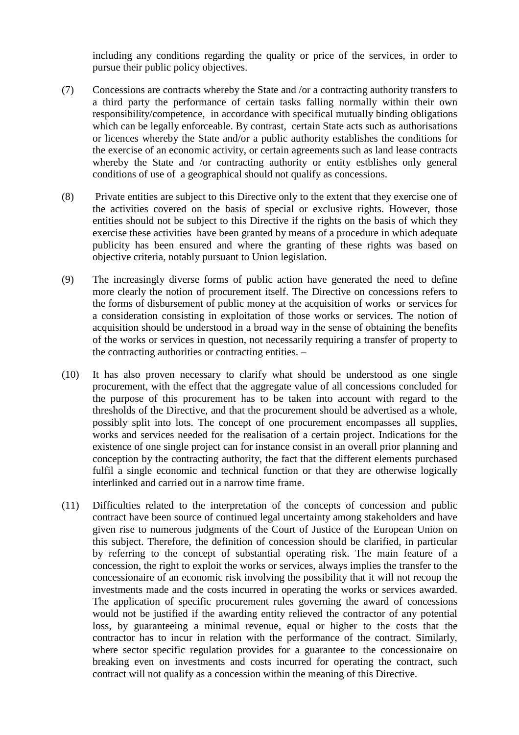including any conditions regarding the quality or price of the services, in order to pursue their public policy objectives.

- (7) Concessions are contracts whereby the State and /or a contracting authority transfers to a third party the performance of certain tasks falling normally within their own responsibility/competence, in accordance with specifical mutually binding obligations which can be legally enforceable. By contrast, certain State acts such as authorisations or licences whereby the State and/or a public authority establishes the conditions for the exercise of an economic activity, or certain agreements such as land lease contracts whereby the State and /or contracting authority or entity estblishes only general conditions of use of a geographical should not qualify as concessions.
- (8) Private entities are subject to this Directive only to the extent that they exercise one of the activities covered on the basis of special or exclusive rights. However, those entities should not be subject to this Directive if the rights on the basis of which they exercise these activities have been granted by means of a procedure in which adequate publicity has been ensured and where the granting of these rights was based on objective criteria, notably pursuant to Union legislation.
- (9) The increasingly diverse forms of public action have generated the need to define more clearly the notion of procurement itself. The Directive on concessions refers to the forms of disbursement of public money at the acquisition of works or services for a consideration consisting in exploitation of those works or services. The notion of acquisition should be understood in a broad way in the sense of obtaining the benefits of the works or services in question, not necessarily requiring a transfer of property to the contracting authorities or contracting entities. –
- (10) It has also proven necessary to clarify what should be understood as one single procurement, with the effect that the aggregate value of all concessions concluded for the purpose of this procurement has to be taken into account with regard to the thresholds of the Directive, and that the procurement should be advertised as a whole, possibly split into lots. The concept of one procurement encompasses all supplies, works and services needed for the realisation of a certain project. Indications for the existence of one single project can for instance consist in an overall prior planning and conception by the contracting authority, the fact that the different elements purchased fulfil a single economic and technical function or that they are otherwise logically interlinked and carried out in a narrow time frame.
- (11) Difficulties related to the interpretation of the concepts of concession and public contract have been source of continued legal uncertainty among stakeholders and have given rise to numerous judgments of the Court of Justice of the European Union on this subject. Therefore, the definition of concession should be clarified, in particular by referring to the concept of substantial operating risk. The main feature of a concession, the right to exploit the works or services, always implies the transfer to the concessionaire of an economic risk involving the possibility that it will not recoup the investments made and the costs incurred in operating the works or services awarded. The application of specific procurement rules governing the award of concessions would not be justified if the awarding entity relieved the contractor of any potential loss, by guaranteeing a minimal revenue, equal or higher to the costs that the contractor has to incur in relation with the performance of the contract. Similarly, where sector specific regulation provides for a guarantee to the concessionaire on breaking even on investments and costs incurred for operating the contract, such contract will not qualify as a concession within the meaning of this Directive.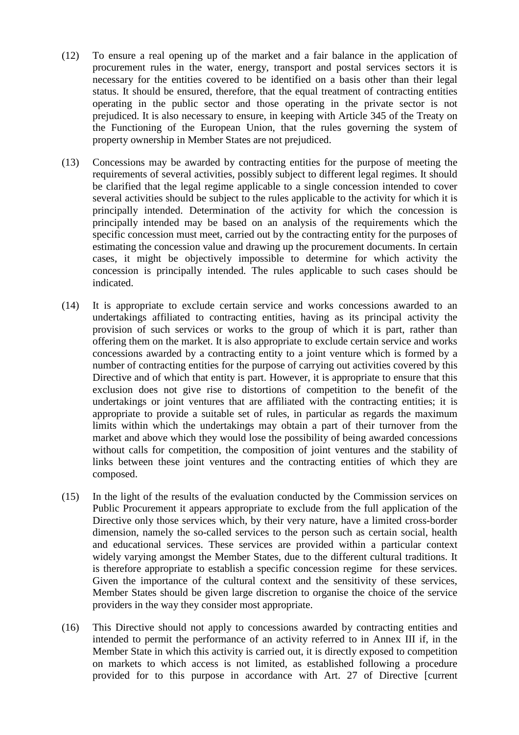- (12) To ensure a real opening up of the market and a fair balance in the application of procurement rules in the water, energy, transport and postal services sectors it is necessary for the entities covered to be identified on a basis other than their legal status. It should be ensured, therefore, that the equal treatment of contracting entities operating in the public sector and those operating in the private sector is not prejudiced. It is also necessary to ensure, in keeping with Article 345 of the Treaty on the Functioning of the European Union, that the rules governing the system of property ownership in Member States are not prejudiced.
- (13) Concessions may be awarded by contracting entities for the purpose of meeting the requirements of several activities, possibly subject to different legal regimes. It should be clarified that the legal regime applicable to a single concession intended to cover several activities should be subject to the rules applicable to the activity for which it is principally intended. Determination of the activity for which the concession is principally intended may be based on an analysis of the requirements which the specific concession must meet, carried out by the contracting entity for the purposes of estimating the concession value and drawing up the procurement documents. In certain cases, it might be objectively impossible to determine for which activity the concession is principally intended. The rules applicable to such cases should be indicated.
- (14) It is appropriate to exclude certain service and works concessions awarded to an undertakings affiliated to contracting entities, having as its principal activity the provision of such services or works to the group of which it is part, rather than offering them on the market. It is also appropriate to exclude certain service and works concessions awarded by a contracting entity to a joint venture which is formed by a number of contracting entities for the purpose of carrying out activities covered by this Directive and of which that entity is part. However, it is appropriate to ensure that this exclusion does not give rise to distortions of competition to the benefit of the undertakings or joint ventures that are affiliated with the contracting entities; it is appropriate to provide a suitable set of rules, in particular as regards the maximum limits within which the undertakings may obtain a part of their turnover from the market and above which they would lose the possibility of being awarded concessions without calls for competition, the composition of joint ventures and the stability of links between these joint ventures and the contracting entities of which they are composed.
- (15) In the light of the results of the evaluation conducted by the Commission services on Public Procurement it appears appropriate to exclude from the full application of the Directive only those services which, by their very nature, have a limited cross-border dimension, namely the so-called services to the person such as certain social, health and educational services. These services are provided within a particular context widely varying amongst the Member States, due to the different cultural traditions. It is therefore appropriate to establish a specific concession regime for these services. Given the importance of the cultural context and the sensitivity of these services, Member States should be given large discretion to organise the choice of the service providers in the way they consider most appropriate.
- (16) This Directive should not apply to concessions awarded by contracting entities and intended to permit the performance of an activity referred to in Annex III if, in the Member State in which this activity is carried out, it is directly exposed to competition on markets to which access is not limited, as established following a procedure provided for to this purpose in accordance with Art. 27 of Directive [current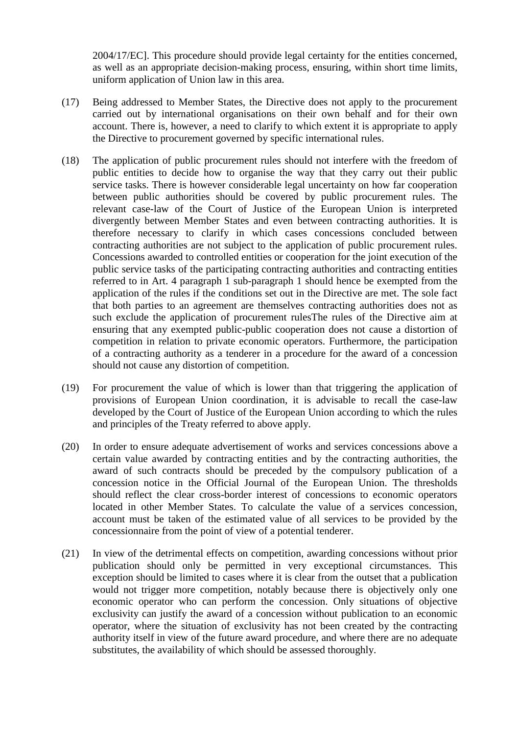2004/17/EC]. This procedure should provide legal certainty for the entities concerned, as well as an appropriate decision-making process, ensuring, within short time limits, uniform application of Union law in this area.

- (17) Being addressed to Member States, the Directive does not apply to the procurement carried out by international organisations on their own behalf and for their own account. There is, however, a need to clarify to which extent it is appropriate to apply the Directive to procurement governed by specific international rules.
- (18) The application of public procurement rules should not interfere with the freedom of public entities to decide how to organise the way that they carry out their public service tasks. There is however considerable legal uncertainty on how far cooperation between public authorities should be covered by public procurement rules. The relevant case-law of the Court of Justice of the European Union is interpreted divergently between Member States and even between contracting authorities. It is therefore necessary to clarify in which cases concessions concluded between contracting authorities are not subject to the application of public procurement rules. Concessions awarded to controlled entities or cooperation for the joint execution of the public service tasks of the participating contracting authorities and contracting entities referred to in Art. 4 paragraph 1 sub-paragraph 1 should hence be exempted from the application of the rules if the conditions set out in the Directive are met. The sole fact that both parties to an agreement are themselves contracting authorities does not as such exclude the application of procurement rulesThe rules of the Directive aim at ensuring that any exempted public-public cooperation does not cause a distortion of competition in relation to private economic operators. Furthermore, the participation of a contracting authority as a tenderer in a procedure for the award of a concession should not cause any distortion of competition.
- (19) For procurement the value of which is lower than that triggering the application of provisions of European Union coordination, it is advisable to recall the case-law developed by the Court of Justice of the European Union according to which the rules and principles of the Treaty referred to above apply.
- (20) In order to ensure adequate advertisement of works and services concessions above a certain value awarded by contracting entities and by the contracting authorities, the award of such contracts should be preceded by the compulsory publication of a concession notice in the Official Journal of the European Union. The thresholds should reflect the clear cross-border interest of concessions to economic operators located in other Member States. To calculate the value of a services concession, account must be taken of the estimated value of all services to be provided by the concessionnaire from the point of view of a potential tenderer.
- (21) In view of the detrimental effects on competition, awarding concessions without prior publication should only be permitted in very exceptional circumstances. This exception should be limited to cases where it is clear from the outset that a publication would not trigger more competition, notably because there is objectively only one economic operator who can perform the concession. Only situations of objective exclusivity can justify the award of a concession without publication to an economic operator, where the situation of exclusivity has not been created by the contracting authority itself in view of the future award procedure, and where there are no adequate substitutes, the availability of which should be assessed thoroughly.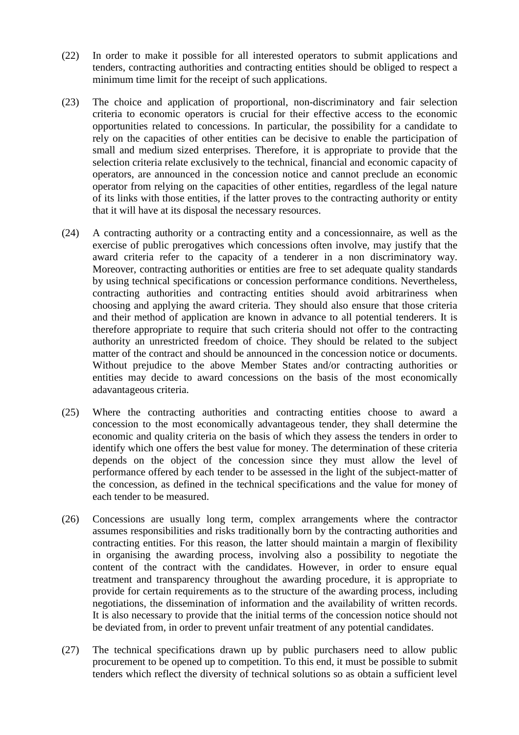- (22) In order to make it possible for all interested operators to submit applications and tenders, contracting authorities and contracting entities should be obliged to respect a minimum time limit for the receipt of such applications.
- (23) The choice and application of proportional, non-discriminatory and fair selection criteria to economic operators is crucial for their effective access to the economic opportunities related to concessions. In particular, the possibility for a candidate to rely on the capacities of other entities can be decisive to enable the participation of small and medium sized enterprises. Therefore, it is appropriate to provide that the selection criteria relate exclusively to the technical, financial and economic capacity of operators, are announced in the concession notice and cannot preclude an economic operator from relying on the capacities of other entities, regardless of the legal nature of its links with those entities, if the latter proves to the contracting authority or entity that it will have at its disposal the necessary resources.
- (24) A contracting authority or a contracting entity and a concessionnaire, as well as the exercise of public prerogatives which concessions often involve, may justify that the award criteria refer to the capacity of a tenderer in a non discriminatory way. Moreover, contracting authorities or entities are free to set adequate quality standards by using technical specifications or concession performance conditions. Nevertheless, contracting authorities and contracting entities should avoid arbitrariness when choosing and applying the award criteria. They should also ensure that those criteria and their method of application are known in advance to all potential tenderers. It is therefore appropriate to require that such criteria should not offer to the contracting authority an unrestricted freedom of choice. They should be related to the subject matter of the contract and should be announced in the concession notice or documents. Without prejudice to the above Member States and/or contracting authorities or entities may decide to award concessions on the basis of the most economically adavantageous criteria.
- (25) Where the contracting authorities and contracting entities choose to award a concession to the most economically advantageous tender, they shall determine the economic and quality criteria on the basis of which they assess the tenders in order to identify which one offers the best value for money. The determination of these criteria depends on the object of the concession since they must allow the level of performance offered by each tender to be assessed in the light of the subject-matter of the concession, as defined in the technical specifications and the value for money of each tender to be measured.
- (26) Concessions are usually long term, complex arrangements where the contractor assumes responsibilities and risks traditionally born by the contracting authorities and contracting entities. For this reason, the latter should maintain a margin of flexibility in organising the awarding process, involving also a possibility to negotiate the content of the contract with the candidates. However, in order to ensure equal treatment and transparency throughout the awarding procedure, it is appropriate to provide for certain requirements as to the structure of the awarding process, including negotiations, the dissemination of information and the availability of written records. It is also necessary to provide that the initial terms of the concession notice should not be deviated from, in order to prevent unfair treatment of any potential candidates.
- (27) The technical specifications drawn up by public purchasers need to allow public procurement to be opened up to competition. To this end, it must be possible to submit tenders which reflect the diversity of technical solutions so as obtain a sufficient level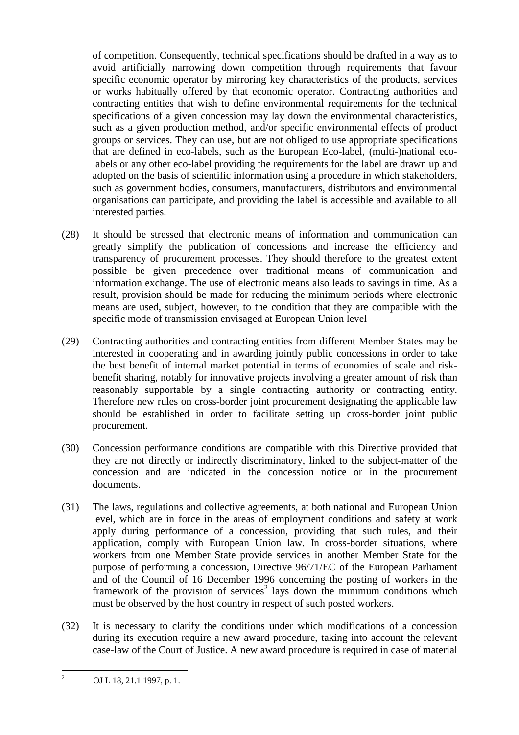of competition. Consequently, technical specifications should be drafted in a way as to avoid artificially narrowing down competition through requirements that favour specific economic operator by mirroring key characteristics of the products, services or works habitually offered by that economic operator. Contracting authorities and contracting entities that wish to define environmental requirements for the technical specifications of a given concession may lay down the environmental characteristics, such as a given production method, and/or specific environmental effects of product groups or services. They can use, but are not obliged to use appropriate specifications that are defined in eco-labels, such as the European Eco-label, (multi-)national ecolabels or any other eco-label providing the requirements for the label are drawn up and adopted on the basis of scientific information using a procedure in which stakeholders, such as government bodies, consumers, manufacturers, distributors and environmental organisations can participate, and providing the label is accessible and available to all interested parties.

- (28) It should be stressed that electronic means of information and communication can greatly simplify the publication of concessions and increase the efficiency and transparency of procurement processes. They should therefore to the greatest extent possible be given precedence over traditional means of communication and information exchange. The use of electronic means also leads to savings in time. As a result, provision should be made for reducing the minimum periods where electronic means are used, subject, however, to the condition that they are compatible with the specific mode of transmission envisaged at European Union level
- (29) Contracting authorities and contracting entities from different Member States may be interested in cooperating and in awarding jointly public concessions in order to take the best benefit of internal market potential in terms of economies of scale and riskbenefit sharing, notably for innovative projects involving a greater amount of risk than reasonably supportable by a single contracting authority or contracting entity. Therefore new rules on cross-border joint procurement designating the applicable law should be established in order to facilitate setting up cross-border joint public procurement.
- (30) Concession performance conditions are compatible with this Directive provided that they are not directly or indirectly discriminatory, linked to the subject-matter of the concession and are indicated in the concession notice or in the procurement documents.
- (31) The laws, regulations and collective agreements, at both national and European Union level, which are in force in the areas of employment conditions and safety at work apply during performance of a concession, providing that such rules, and their application, comply with European Union law. In cross-border situations, where workers from one Member State provide services in another Member State for the purpose of performing a concession, Directive 96/71/EC of the European Parliament and of the Council of 16 December 1996 concerning the posting of workers in the framework of the provision of services<sup>2</sup> lays down the minimum conditions which must be observed by the host country in respect of such posted workers.
- (32) It is necessary to clarify the conditions under which modifications of a concession during its execution require a new award procedure, taking into account the relevant case-law of the Court of Justice. A new award procedure is required in case of material

 $\frac{1}{2}$ OJ L 18, 21.1.1997, p. 1.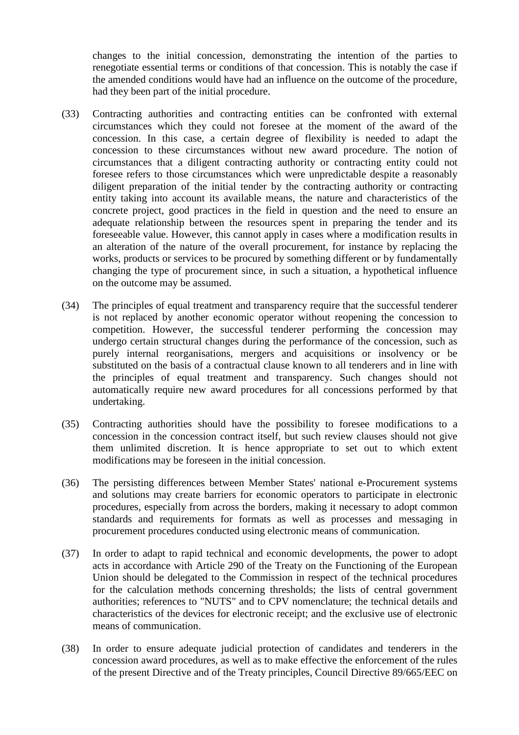changes to the initial concession, demonstrating the intention of the parties to renegotiate essential terms or conditions of that concession. This is notably the case if the amended conditions would have had an influence on the outcome of the procedure, had they been part of the initial procedure.

- (33) Contracting authorities and contracting entities can be confronted with external circumstances which they could not foresee at the moment of the award of the concession. In this case, a certain degree of flexibility is needed to adapt the concession to these circumstances without new award procedure. The notion of circumstances that a diligent contracting authority or contracting entity could not foresee refers to those circumstances which were unpredictable despite a reasonably diligent preparation of the initial tender by the contracting authority or contracting entity taking into account its available means, the nature and characteristics of the concrete project, good practices in the field in question and the need to ensure an adequate relationship between the resources spent in preparing the tender and its foreseeable value. However, this cannot apply in cases where a modification results in an alteration of the nature of the overall procurement, for instance by replacing the works, products or services to be procured by something different or by fundamentally changing the type of procurement since, in such a situation, a hypothetical influence on the outcome may be assumed.
- (34) The principles of equal treatment and transparency require that the successful tenderer is not replaced by another economic operator without reopening the concession to competition. However, the successful tenderer performing the concession may undergo certain structural changes during the performance of the concession, such as purely internal reorganisations, mergers and acquisitions or insolvency or be substituted on the basis of a contractual clause known to all tenderers and in line with the principles of equal treatment and transparency. Such changes should not automatically require new award procedures for all concessions performed by that undertaking.
- (35) Contracting authorities should have the possibility to foresee modifications to a concession in the concession contract itself, but such review clauses should not give them unlimited discretion. It is hence appropriate to set out to which extent modifications may be foreseen in the initial concession.
- (36) The persisting differences between Member States' national e-Procurement systems and solutions may create barriers for economic operators to participate in electronic procedures, especially from across the borders, making it necessary to adopt common standards and requirements for formats as well as processes and messaging in procurement procedures conducted using electronic means of communication.
- (37) In order to adapt to rapid technical and economic developments, the power to adopt acts in accordance with Article 290 of the Treaty on the Functioning of the European Union should be delegated to the Commission in respect of the technical procedures for the calculation methods concerning thresholds; the lists of central government authorities; references to "NUTS" and to CPV nomenclature; the technical details and characteristics of the devices for electronic receipt; and the exclusive use of electronic means of communication.
- (38) In order to ensure adequate judicial protection of candidates and tenderers in the concession award procedures, as well as to make effective the enforcement of the rules of the present Directive and of the Treaty principles, Council Directive 89/665/EEC on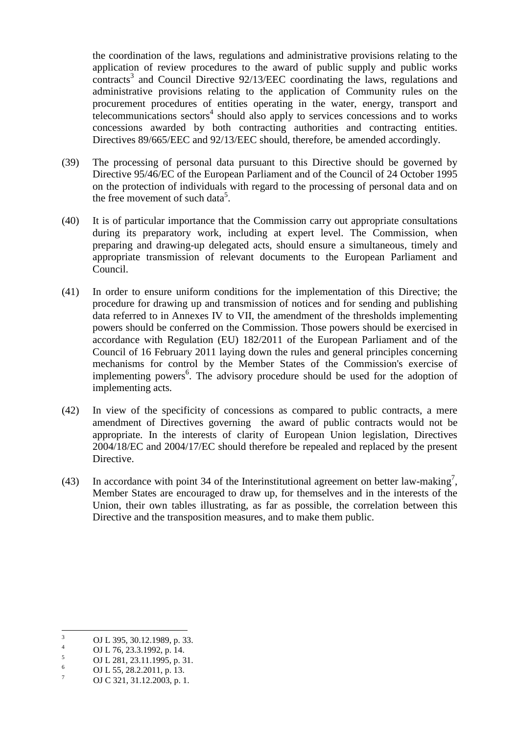the coordination of the laws, regulations and administrative provisions relating to the application of review procedures to the award of public supply and public works contracts<sup>3</sup> and Council Directive 92/13/EEC coordinating the laws, regulations and administrative provisions relating to the application of Community rules on the procurement procedures of entities operating in the water, energy, transport and  $t$ elecommunications sectors<sup>4</sup> should also apply to services concessions and to works concessions awarded by both contracting authorities and contracting entities. Directives 89/665/EEC and 92/13/EEC should, therefore, be amended accordingly.

- (39) The processing of personal data pursuant to this Directive should be governed by Directive 95/46/EC of the European Parliament and of the Council of 24 October 1995 on the protection of individuals with regard to the processing of personal data and on the free movement of such data<sup>5</sup>.
- (40) It is of particular importance that the Commission carry out appropriate consultations during its preparatory work, including at expert level. The Commission, when preparing and drawing-up delegated acts, should ensure a simultaneous, timely and appropriate transmission of relevant documents to the European Parliament and Council.
- (41) In order to ensure uniform conditions for the implementation of this Directive; the procedure for drawing up and transmission of notices and for sending and publishing data referred to in Annexes IV to VII, the amendment of the thresholds implementing powers should be conferred on the Commission. Those powers should be exercised in accordance with Regulation (EU) 182/2011 of the European Parliament and of the Council of 16 February 2011 laying down the rules and general principles concerning mechanisms for control by the Member States of the Commission's exercise of implementing powers<sup>6</sup>. The advisory procedure should be used for the adoption of implementing acts*.*
- (42) In view of the specificity of concessions as compared to public contracts, a mere amendment of Directives governing the award of public contracts would not be appropriate. In the interests of clarity of European Union legislation, Directives 2004/18/EC and 2004/17/EC should therefore be repealed and replaced by the present Directive.
- (43) In accordance with point 34 of the Interinstitutional agreement on better law-making<sup>7</sup>, Member States are encouraged to draw up, for themselves and in the interests of the Union, their own tables illustrating, as far as possible, the correlation between this Directive and the transposition measures, and to make them public.

 3 OJ L 395, 30.12.1989, p. 33.

<sup>4</sup> OJ L 76, 23.3.1992, p. 14.

<sup>5</sup> OJ L 281, 23.11.1995, p. 31.

<sup>6</sup> OJ L 55, 28.2.2011, p. 13.

<sup>7</sup> OJ C 321, 31.12.2003, p. 1.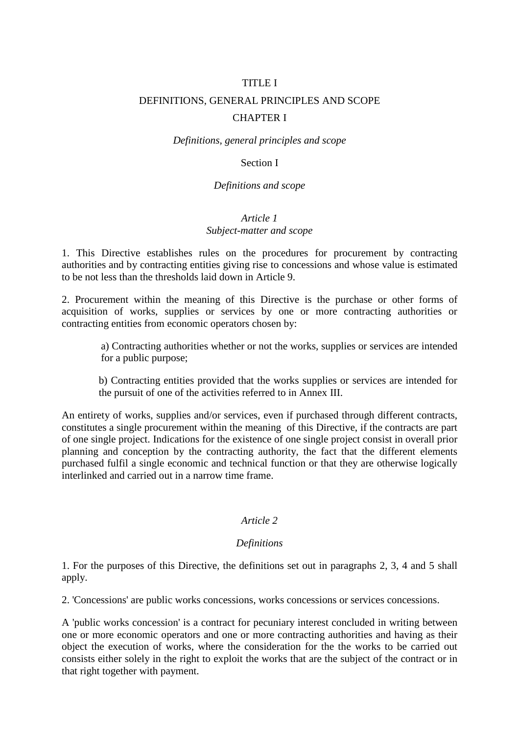# TITLE I DEFINITIONS, GENERAL PRINCIPLES AND SCOPE CHAPTER I

*Definitions, general principles and scope* 

#### Section I

#### *Definitions and scope*

#### *Article 1 Subject-matter and scope*

1. This Directive establishes rules on the procedures for procurement by contracting authorities and by contracting entities giving rise to concessions and whose value is estimated to be not less than the thresholds laid down in Article 9.

2. Procurement within the meaning of this Directive is the purchase or other forms of acquisition of works, supplies or services by one or more contracting authorities or contracting entities from economic operators chosen by:

a) Contracting authorities whether or not the works, supplies or services are intended for a public purpose;

b) Contracting entities provided that the works supplies or services are intended for the pursuit of one of the activities referred to in Annex III.

An entirety of works, supplies and/or services, even if purchased through different contracts, constitutes a single procurement within the meaning of this Directive, if the contracts are part of one single project. Indications for the existence of one single project consist in overall prior planning and conception by the contracting authority, the fact that the different elements purchased fulfil a single economic and technical function or that they are otherwise logically interlinked and carried out in a narrow time frame.

## *Article 2*

#### *Definitions*

1. For the purposes of this Directive, the definitions set out in paragraphs 2, 3, 4 and 5 shall apply.

2. 'Concessions' are public works concessions, works concessions or services concessions.

A 'public works concession' is a contract for pecuniary interest concluded in writing between one or more economic operators and one or more contracting authorities and having as their object the execution of works, where the consideration for the the works to be carried out consists either solely in the right to exploit the works that are the subject of the contract or in that right together with payment.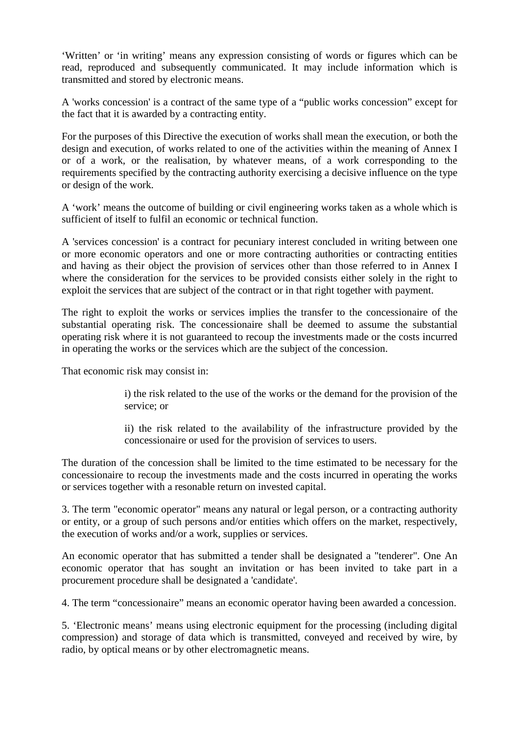'Written' or 'in writing' means any expression consisting of words or figures which can be read, reproduced and subsequently communicated. It may include information which is transmitted and stored by electronic means.

A 'works concession' is a contract of the same type of a "public works concession" except for the fact that it is awarded by a contracting entity.

For the purposes of this Directive the execution of works shall mean the execution, or both the design and execution, of works related to one of the activities within the meaning of Annex I or of a work, or the realisation, by whatever means, of a work corresponding to the requirements specified by the contracting authority exercising a decisive influence on the type or design of the work.

A 'work' means the outcome of building or civil engineering works taken as a whole which is sufficient of itself to fulfil an economic or technical function.

A 'services concession' is a contract for pecuniary interest concluded in writing between one or more economic operators and one or more contracting authorities or contracting entities and having as their object the provision of services other than those referred to in Annex I where the consideration for the services to be provided consists either solely in the right to exploit the services that are subject of the contract or in that right together with payment.

The right to exploit the works or services implies the transfer to the concessionaire of the substantial operating risk. The concessionaire shall be deemed to assume the substantial operating risk where it is not guaranteed to recoup the investments made or the costs incurred in operating the works or the services which are the subject of the concession.

That economic risk may consist in:

i) the risk related to the use of the works or the demand for the provision of the service; or

ii) the risk related to the availability of the infrastructure provided by the concessionaire or used for the provision of services to users.

The duration of the concession shall be limited to the time estimated to be necessary for the concessionaire to recoup the investments made and the costs incurred in operating the works or services together with a resonable return on invested capital.

3. The term "economic operator" means any natural or legal person, or a contracting authority or entity, or a group of such persons and/or entities which offers on the market, respectively, the execution of works and/or a work, supplies or services.

An economic operator that has submitted a tender shall be designated a "tenderer". One An economic operator that has sought an invitation or has been invited to take part in a procurement procedure shall be designated a 'candidate'.

4. The term "concessionaire" means an economic operator having been awarded a concession.

5. 'Electronic means' means using electronic equipment for the processing (including digital compression) and storage of data which is transmitted, conveyed and received by wire, by radio, by optical means or by other electromagnetic means.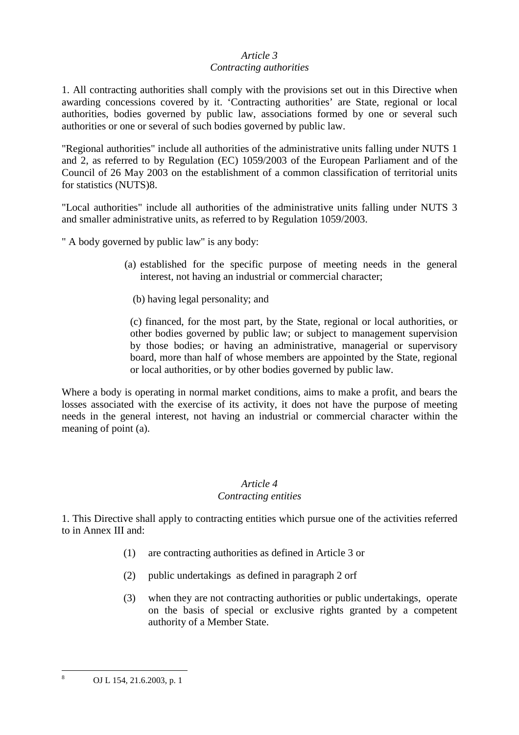#### *Article 3 Contracting authorities*

1. All contracting authorities shall comply with the provisions set out in this Directive when awarding concessions covered by it. 'Contracting authorities' are State, regional or local authorities, bodies governed by public law, associations formed by one or several such authorities or one or several of such bodies governed by public law.

"Regional authorities" include all authorities of the administrative units falling under NUTS 1 and 2, as referred to by Regulation (EC) 1059/2003 of the European Parliament and of the Council of 26 May 2003 on the establishment of a common classification of territorial units for statistics (NUTS)8.

"Local authorities" include all authorities of the administrative units falling under NUTS 3 and smaller administrative units, as referred to by Regulation 1059/2003.

" A body governed by public law" is any body:

- (a) established for the specific purpose of meeting needs in the general interest, not having an industrial or commercial character;
	- (b) having legal personality; and

(c) financed, for the most part, by the State, regional or local authorities, or other bodies governed by public law; or subject to management supervision by those bodies; or having an administrative, managerial or supervisory board, more than half of whose members are appointed by the State, regional or local authorities, or by other bodies governed by public law.

Where a body is operating in normal market conditions, aims to make a profit, and bears the losses associated with the exercise of its activity, it does not have the purpose of meeting needs in the general interest, not having an industrial or commercial character within the meaning of point (a).

#### *Article 4 Contracting entities*

1. This Directive shall apply to contracting entities which pursue one of the activities referred to in Annex III and:

- (1) are contracting authorities as defined in Article 3 or
- (2) public undertakings as defined in paragraph 2 orf
- (3) when they are not contracting authorities or public undertakings, operate on the basis of special or exclusive rights granted by a competent authority of a Member State.

8

OJ L 154, 21.6.2003, p. 1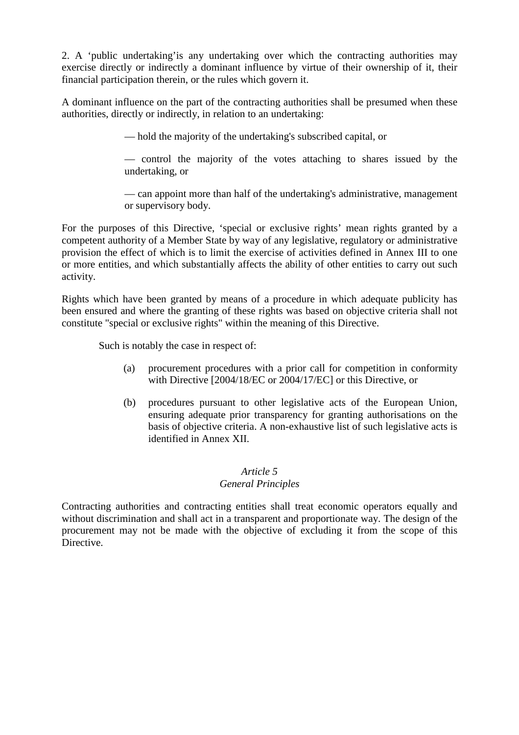2. A 'public undertaking'is any undertaking over which the contracting authorities may exercise directly or indirectly a dominant influence by virtue of their ownership of it, their financial participation therein, or the rules which govern it.

A dominant influence on the part of the contracting authorities shall be presumed when these authorities, directly or indirectly, in relation to an undertaking:

— hold the majority of the undertaking's subscribed capital, or

— control the majority of the votes attaching to shares issued by the undertaking, or

— can appoint more than half of the undertaking's administrative, management or supervisory body.

For the purposes of this Directive, 'special or exclusive rights' mean rights granted by a competent authority of a Member State by way of any legislative, regulatory or administrative provision the effect of which is to limit the exercise of activities defined in Annex III to one or more entities, and which substantially affects the ability of other entities to carry out such activity.

Rights which have been granted by means of a procedure in which adequate publicity has been ensured and where the granting of these rights was based on objective criteria shall not constitute "special or exclusive rights" within the meaning of this Directive.

Such is notably the case in respect of:

- (a) procurement procedures with a prior call for competition in conformity with Directive [2004/18/EC or 2004/17/EC] or this Directive, or
- (b) procedures pursuant to other legislative acts of the European Union, ensuring adequate prior transparency for granting authorisations on the basis of objective criteria. A non-exhaustive list of such legislative acts is identified in Annex XII.

## *Article 5*

## *General Principles*

Contracting authorities and contracting entities shall treat economic operators equally and without discrimination and shall act in a transparent and proportionate way. The design of the procurement may not be made with the objective of excluding it from the scope of this **Directive**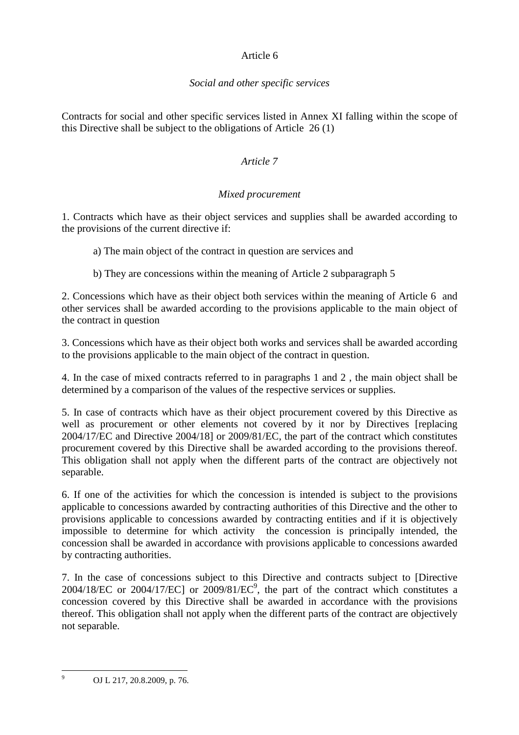## Article 6

## *Social and other specific services*

Contracts for social and other specific services listed in Annex XI falling within the scope of this Directive shall be subject to the obligations of Article 26 (1)

## *Article 7*

## *Mixed procurement*

1. Contracts which have as their object services and supplies shall be awarded according to the provisions of the current directive if:

a) The main object of the contract in question are services and

b) They are concessions within the meaning of Article 2 subparagraph 5

2. Concessions which have as their object both services within the meaning of Article 6 and other services shall be awarded according to the provisions applicable to the main object of the contract in question

3. Concessions which have as their object both works and services shall be awarded according to the provisions applicable to the main object of the contract in question.

4. In the case of mixed contracts referred to in paragraphs 1 and 2 , the main object shall be determined by a comparison of the values of the respective services or supplies.

5. In case of contracts which have as their object procurement covered by this Directive as well as procurement or other elements not covered by it nor by Directives [replacing 2004/17/EC and Directive 2004/18] or 2009/81/EC, the part of the contract which constitutes procurement covered by this Directive shall be awarded according to the provisions thereof. This obligation shall not apply when the different parts of the contract are objectively not separable.

6. If one of the activities for which the concession is intended is subject to the provisions applicable to concessions awarded by contracting authorities of this Directive and the other to provisions applicable to concessions awarded by contracting entities and if it is objectively impossible to determine for which activity the concession is principally intended, the concession shall be awarded in accordance with provisions applicable to concessions awarded by contracting authorities.

7. In the case of concessions subject to this Directive and contracts subject to [Directive  $2004/18/EC$  or  $2004/17/EC$ ] or  $2009/81/EC^9$ , the part of the contract which constitutes a concession covered by this Directive shall be awarded in accordance with the provisions thereof. This obligation shall not apply when the different parts of the contract are objectively not separable.

<sup>9</sup>

OJ L 217, 20.8.2009, p. 76.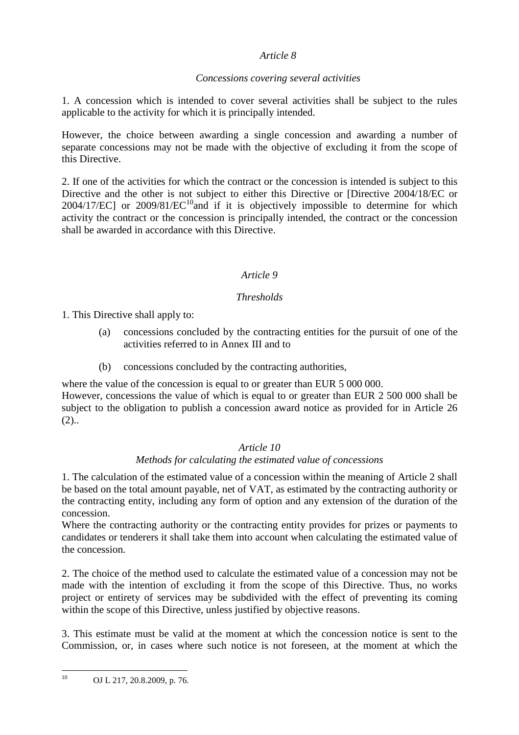## *Article 8*

## *Concessions covering several activities*

1. A concession which is intended to cover several activities shall be subject to the rules applicable to the activity for which it is principally intended.

However, the choice between awarding a single concession and awarding a number of separate concessions may not be made with the objective of excluding it from the scope of this Directive.

2. If one of the activities for which the contract or the concession is intended is subject to this Directive and the other is not subject to either this Directive or [Directive 2004/18/EC or  $2004/17/EC$ ] or  $2009/81/EC^{10}$  and if it is objectively impossible to determine for which activity the contract or the concession is principally intended, the contract or the concession shall be awarded in accordance with this Directive.

## *Article 9*

## *Thresholds*

1. This Directive shall apply to:

- (a) concessions concluded by the contracting entities for the pursuit of one of the activities referred to in Annex III and to
- (b) concessions concluded by the contracting authorities,

where the value of the concession is equal to or greater than EUR 5 000 000. However, concessions the value of which is equal to or greater than EUR 2 500 000 shall be subject to the obligation to publish a concession award notice as provided for in Article 26  $(2).$ 

## *Article 10*

## *Methods for calculating the estimated value of concessions*

1. The calculation of the estimated value of a concession within the meaning of Article 2 shall be based on the total amount payable, net of VAT, as estimated by the contracting authority or the contracting entity, including any form of option and any extension of the duration of the concession.

Where the contracting authority or the contracting entity provides for prizes or payments to candidates or tenderers it shall take them into account when calculating the estimated value of the concession.

2. The choice of the method used to calculate the estimated value of a concession may not be made with the intention of excluding it from the scope of this Directive. Thus, no works project or entirety of services may be subdivided with the effect of preventing its coming within the scope of this Directive, unless justified by objective reasons.

3. This estimate must be valid at the moment at which the concession notice is sent to the Commission, or, in cases where such notice is not foreseen, at the moment at which the

 $10<sup>10</sup>$ <sup>10</sup> OJ L 217, 20.8.2009, p. 76.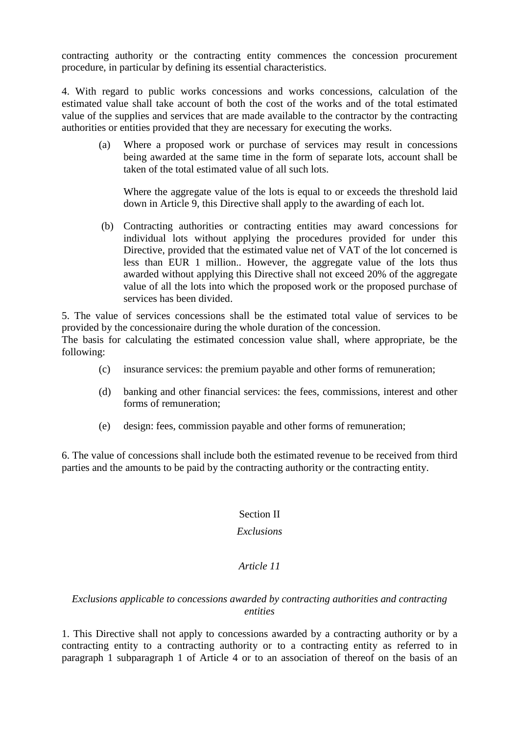contracting authority or the contracting entity commences the concession procurement procedure, in particular by defining its essential characteristics.

4. With regard to public works concessions and works concessions, calculation of the estimated value shall take account of both the cost of the works and of the total estimated value of the supplies and services that are made available to the contractor by the contracting authorities or entities provided that they are necessary for executing the works.

 (a) Where a proposed work or purchase of services may result in concessions being awarded at the same time in the form of separate lots, account shall be taken of the total estimated value of all such lots.

Where the aggregate value of the lots is equal to or exceeds the threshold laid down in Article 9, this Directive shall apply to the awarding of each lot.

 (b) Contracting authorities or contracting entities may award concessions for individual lots without applying the procedures provided for under this Directive, provided that the estimated value net of VAT of the lot concerned is less than EUR 1 million.. However, the aggregate value of the lots thus awarded without applying this Directive shall not exceed 20% of the aggregate value of all the lots into which the proposed work or the proposed purchase of services has been divided.

5. The value of services concessions shall be the estimated total value of services to be provided by the concessionaire during the whole duration of the concession. The basis for calculating the estimated concession value shall, where appropriate, be the

following:

- (c) insurance services: the premium payable and other forms of remuneration;
- (d) banking and other financial services: the fees, commissions, interest and other forms of remuneration;
- (e) design: fees, commission payable and other forms of remuneration;

6. The value of concessions shall include both the estimated revenue to be received from third parties and the amounts to be paid by the contracting authority or the contracting entity.

## Section II

#### *Exclusions*

## *Article 11*

## *Exclusions applicable to concessions awarded by contracting authorities and contracting entities*

1. This Directive shall not apply to concessions awarded by a contracting authority or by a contracting entity to a contracting authority or to a contracting entity as referred to in paragraph 1 subparagraph 1 of Article 4 or to an association of thereof on the basis of an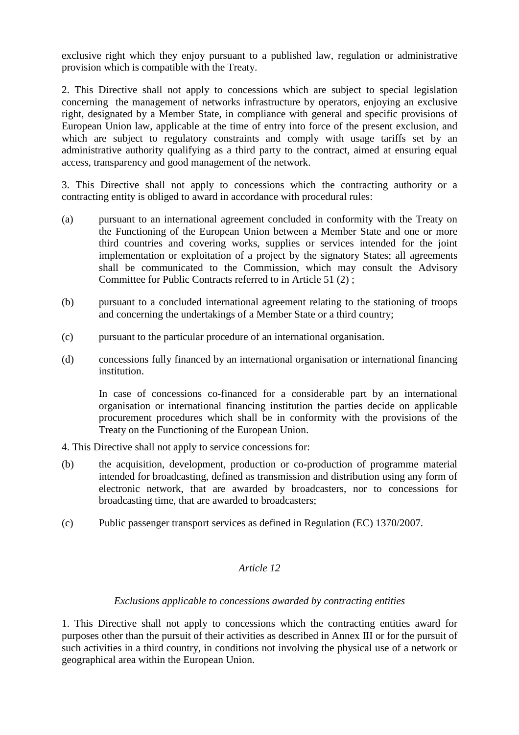exclusive right which they enjoy pursuant to a published law, regulation or administrative provision which is compatible with the Treaty.

2. This Directive shall not apply to concessions which are subject to special legislation concerning the management of networks infrastructure by operators, enjoying an exclusive right, designated by a Member State, in compliance with general and specific provisions of European Union law, applicable at the time of entry into force of the present exclusion, and which are subject to regulatory constraints and comply with usage tariffs set by an administrative authority qualifying as a third party to the contract, aimed at ensuring equal access, transparency and good management of the network.

3. This Directive shall not apply to concessions which the contracting authority or a contracting entity is obliged to award in accordance with procedural rules:

- (a) pursuant to an international agreement concluded in conformity with the Treaty on the Functioning of the European Union between a Member State and one or more third countries and covering works, supplies or services intended for the joint implementation or exploitation of a project by the signatory States; all agreements shall be communicated to the Commission, which may consult the Advisory Committee for Public Contracts referred to in Article 51 (2) ;
- (b) pursuant to a concluded international agreement relating to the stationing of troops and concerning the undertakings of a Member State or a third country;
- (c) pursuant to the particular procedure of an international organisation.
- (d) concessions fully financed by an international organisation or international financing institution.

In case of concessions co-financed for a considerable part by an international organisation or international financing institution the parties decide on applicable procurement procedures which shall be in conformity with the provisions of the Treaty on the Functioning of the European Union.

- 4. This Directive shall not apply to service concessions for:
- (b) the acquisition, development, production or co-production of programme material intended for broadcasting, defined as transmission and distribution using any form of electronic network, that are awarded by broadcasters, nor to concessions for broadcasting time, that are awarded to broadcasters;
- (c) Public passenger transport services as defined in Regulation (EC) 1370/2007.

## *Article 12*

## *Exclusions applicable to concessions awarded by contracting entities*

1. This Directive shall not apply to concessions which the contracting entities award for purposes other than the pursuit of their activities as described in Annex III or for the pursuit of such activities in a third country, in conditions not involving the physical use of a network or geographical area within the European Union.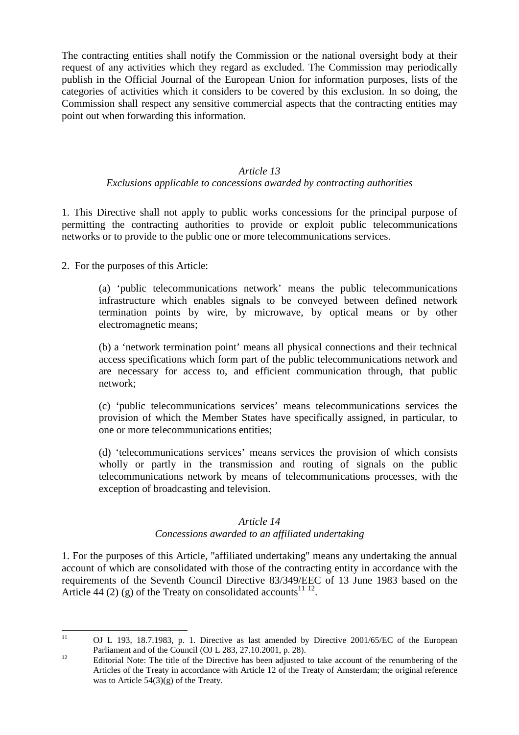The contracting entities shall notify the Commission or the national oversight body at their request of any activities which they regard as excluded. The Commission may periodically publish in the Official Journal of the European Union for information purposes, lists of the categories of activities which it considers to be covered by this exclusion. In so doing, the Commission shall respect any sensitive commercial aspects that the contracting entities may point out when forwarding this information.

## *Article 13*

#### *Exclusions applicable to concessions awarded by contracting authorities*

1. This Directive shall not apply to public works concessions for the principal purpose of permitting the contracting authorities to provide or exploit public telecommunications networks or to provide to the public one or more telecommunications services.

2. For the purposes of this Article:

(a) 'public telecommunications network' means the public telecommunications infrastructure which enables signals to be conveyed between defined network termination points by wire, by microwave, by optical means or by other electromagnetic means;

(b) a 'network termination point' means all physical connections and their technical access specifications which form part of the public telecommunications network and are necessary for access to, and efficient communication through, that public network;

(c) 'public telecommunications services' means telecommunications services the provision of which the Member States have specifically assigned, in particular, to one or more telecommunications entities;

(d) 'telecommunications services' means services the provision of which consists wholly or partly in the transmission and routing of signals on the public telecommunications network by means of telecommunications processes, with the exception of broadcasting and television.

## *Article 14 Concessions awarded to an affiliated undertaking*

1. For the purposes of this Article, "affiliated undertaking" means any undertaking the annual account of which are consolidated with those of the contracting entity in accordance with the requirements of the Seventh Council Directive 83/349/EEC of 13 June 1983 based on the Article 44 (2) (g) of the Treaty on consolidated accounts<sup>11 12</sup>.

 $11$ 

<sup>11</sup> OJ L 193, 18.7.1983, p. 1. Directive as last amended by Directive 2001/65/EC of the European Parliament and of the Council (OJ L 283, 27.10.2001, p. 28).

<sup>&</sup>lt;sup>12</sup> Editorial Note: The title of the Directive has been adjusted to take account of the renumbering of the Articles of the Treaty in accordance with Article 12 of the Treaty of Amsterdam; the original reference was to Article 54(3)(g) of the Treaty.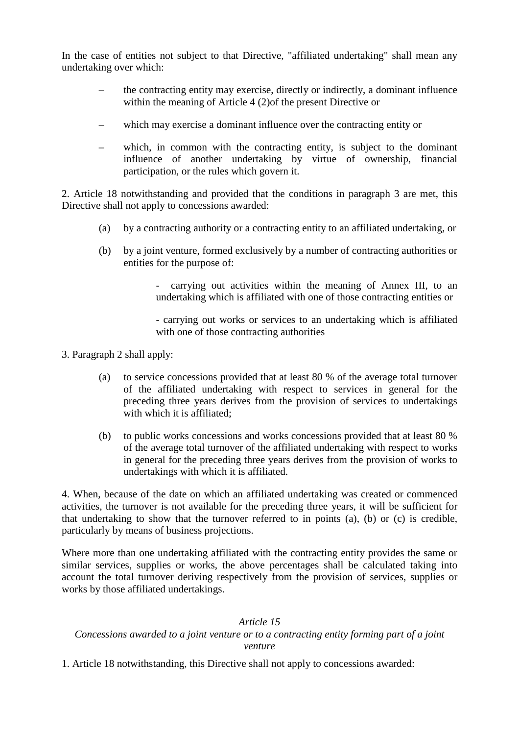In the case of entities not subject to that Directive, "affiliated undertaking" shall mean any undertaking over which:

- the contracting entity may exercise, directly or indirectly, a dominant influence within the meaning of Article 4 (2)of the present Directive or
- which may exercise a dominant influence over the contracting entity or
- which, in common with the contracting entity, is subject to the dominant influence of another undertaking by virtue of ownership, financial participation, or the rules which govern it.

2. Article 18 notwithstanding and provided that the conditions in paragraph 3 are met, this Directive shall not apply to concessions awarded:

- (a) by a contracting authority or a contracting entity to an affiliated undertaking, or
- (b) by a joint venture, formed exclusively by a number of contracting authorities or entities for the purpose of:

carrying out activities within the meaning of Annex III, to an undertaking which is affiliated with one of those contracting entities or

- carrying out works or services to an undertaking which is affiliated with one of those contracting authorities

- 3. Paragraph 2 shall apply:
	- (a) to service concessions provided that at least 80 % of the average total turnover of the affiliated undertaking with respect to services in general for the preceding three years derives from the provision of services to undertakings with which it is affiliated:
	- (b) to public works concessions and works concessions provided that at least 80 % of the average total turnover of the affiliated undertaking with respect to works in general for the preceding three years derives from the provision of works to undertakings with which it is affiliated.

4. When, because of the date on which an affiliated undertaking was created or commenced activities, the turnover is not available for the preceding three years, it will be sufficient for that undertaking to show that the turnover referred to in points (a), (b) or (c) is credible, particularly by means of business projections.

Where more than one undertaking affiliated with the contracting entity provides the same or similar services, supplies or works, the above percentages shall be calculated taking into account the total turnover deriving respectively from the provision of services, supplies or works by those affiliated undertakings.

## *Article 15*

## *Concessions awarded to a joint venture or to a contracting entity forming part of a joint venture*

1. Article 18 notwithstanding, this Directive shall not apply to concessions awarded: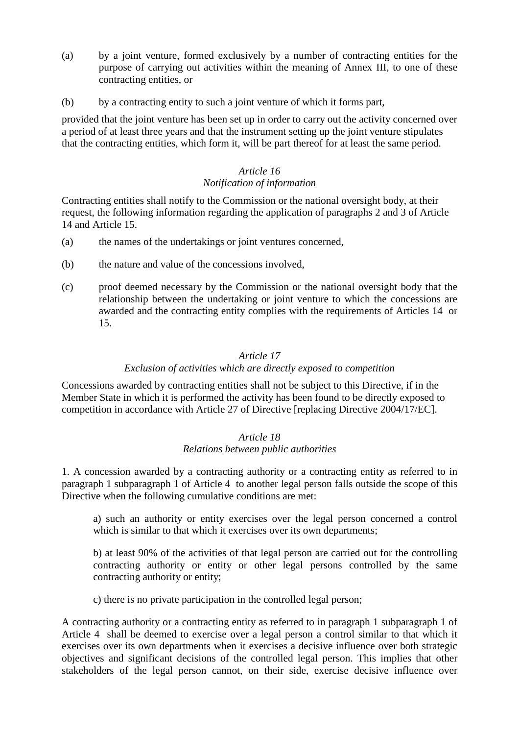- (a) by a joint venture, formed exclusively by a number of contracting entities for the purpose of carrying out activities within the meaning of Annex III, to one of these contracting entities, or
- (b) by a contracting entity to such a joint venture of which it forms part,

provided that the joint venture has been set up in order to carry out the activity concerned over a period of at least three years and that the instrument setting up the joint venture stipulates that the contracting entities, which form it, will be part thereof for at least the same period.

#### *Article 16 Notification of information*

Contracting entities shall notify to the Commission or the national oversight body, at their request, the following information regarding the application of paragraphs 2 and 3 of Article 14 and Article 15.

- (a) the names of the undertakings or joint ventures concerned,
- (b) the nature and value of the concessions involved,
- (c) proof deemed necessary by the Commission or the national oversight body that the relationship between the undertaking or joint venture to which the concessions are awarded and the contracting entity complies with the requirements of Articles 14 or 15.

#### *Article 17*

## *Exclusion of activities which are directly exposed to competition*

Concessions awarded by contracting entities shall not be subject to this Directive, if in the Member State in which it is performed the activity has been found to be directly exposed to competition in accordance with Article 27 of Directive [replacing Directive 2004/17/EC].

#### *Article 18 Relations between public authorities*

1. A concession awarded by a contracting authority or a contracting entity as referred to in paragraph 1 subparagraph 1 of Article 4 to another legal person falls outside the scope of this Directive when the following cumulative conditions are met:

a) such an authority or entity exercises over the legal person concerned a control which is similar to that which it exercises over its own departments;

b) at least 90% of the activities of that legal person are carried out for the controlling contracting authority or entity or other legal persons controlled by the same contracting authority or entity;

c) there is no private participation in the controlled legal person;

A contracting authority or a contracting entity as referred to in paragraph 1 subparagraph 1 of Article 4 shall be deemed to exercise over a legal person a control similar to that which it exercises over its own departments when it exercises a decisive influence over both strategic objectives and significant decisions of the controlled legal person. This implies that other stakeholders of the legal person cannot, on their side, exercise decisive influence over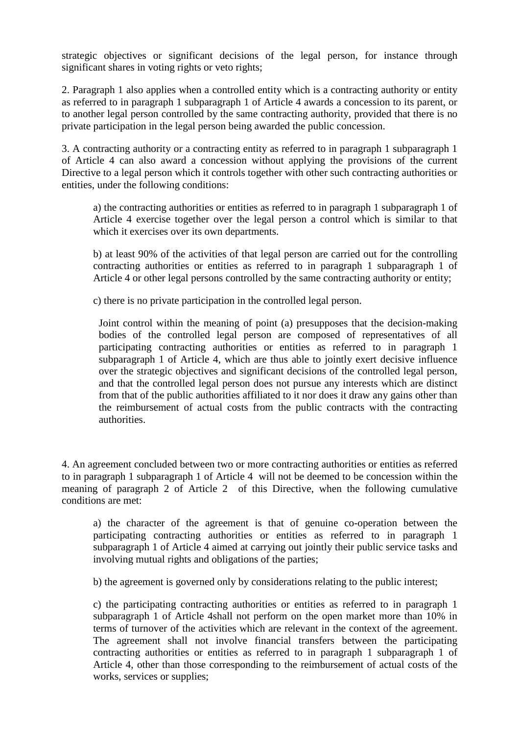strategic objectives or significant decisions of the legal person, for instance through significant shares in voting rights or veto rights;

2. Paragraph 1 also applies when a controlled entity which is a contracting authority or entity as referred to in paragraph 1 subparagraph 1 of Article 4 awards a concession to its parent, or to another legal person controlled by the same contracting authority, provided that there is no private participation in the legal person being awarded the public concession.

3. A contracting authority or a contracting entity as referred to in paragraph 1 subparagraph 1 of Article 4 can also award a concession without applying the provisions of the current Directive to a legal person which it controls together with other such contracting authorities or entities, under the following conditions:

a) the contracting authorities or entities as referred to in paragraph 1 subparagraph 1 of Article 4 exercise together over the legal person a control which is similar to that which it exercises over its own departments.

b) at least 90% of the activities of that legal person are carried out for the controlling contracting authorities or entities as referred to in paragraph 1 subparagraph 1 of Article 4 or other legal persons controlled by the same contracting authority or entity;

c) there is no private participation in the controlled legal person.

Joint control within the meaning of point (a) presupposes that the decision-making bodies of the controlled legal person are composed of representatives of all participating contracting authorities or entities as referred to in paragraph 1 subparagraph 1 of Article 4, which are thus able to jointly exert decisive influence over the strategic objectives and significant decisions of the controlled legal person, and that the controlled legal person does not pursue any interests which are distinct from that of the public authorities affiliated to it nor does it draw any gains other than the reimbursement of actual costs from the public contracts with the contracting authorities.

4. An agreement concluded between two or more contracting authorities or entities as referred to in paragraph 1 subparagraph 1 of Article 4 will not be deemed to be concession within the meaning of paragraph 2 of Article 2 of this Directive, when the following cumulative conditions are met:

a) the character of the agreement is that of genuine co-operation between the participating contracting authorities or entities as referred to in paragraph 1 subparagraph 1 of Article 4 aimed at carrying out jointly their public service tasks and involving mutual rights and obligations of the parties;

b) the agreement is governed only by considerations relating to the public interest;

c) the participating contracting authorities or entities as referred to in paragraph 1 subparagraph 1 of Article 4shall not perform on the open market more than 10% in terms of turnover of the activities which are relevant in the context of the agreement. The agreement shall not involve financial transfers between the participating contracting authorities or entities as referred to in paragraph 1 subparagraph 1 of Article 4, other than those corresponding to the reimbursement of actual costs of the works, services or supplies;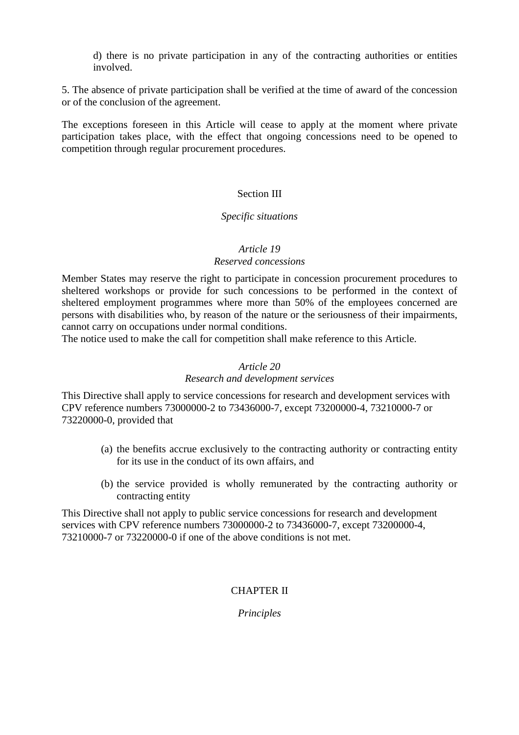d) there is no private participation in any of the contracting authorities or entities involved.

5. The absence of private participation shall be verified at the time of award of the concession or of the conclusion of the agreement.

The exceptions foreseen in this Article will cease to apply at the moment where private participation takes place, with the effect that ongoing concessions need to be opened to competition through regular procurement procedures.

## Section III

#### *Specific situations*

#### *Article 19*

#### *Reserved concessions*

Member States may reserve the right to participate in concession procurement procedures to sheltered workshops or provide for such concessions to be performed in the context of sheltered employment programmes where more than 50% of the employees concerned are persons with disabilities who, by reason of the nature or the seriousness of their impairments, cannot carry on occupations under normal conditions.

The notice used to make the call for competition shall make reference to this Article.

#### *Article 20*

#### *Research and development services*

This Directive shall apply to service concessions for research and development services with CPV reference numbers 73000000-2 to 73436000-7, except 73200000-4, 73210000-7 or 73220000-0, provided that

- (a) the benefits accrue exclusively to the contracting authority or contracting entity for its use in the conduct of its own affairs, and
- (b) the service provided is wholly remunerated by the contracting authority or contracting entity

This Directive shall not apply to public service concessions for research and development services with CPV reference numbers 73000000-2 to 73436000-7, except 73200000-4, 73210000-7 or 73220000-0 if one of the above conditions is not met.

## CHAPTER II

*Principles*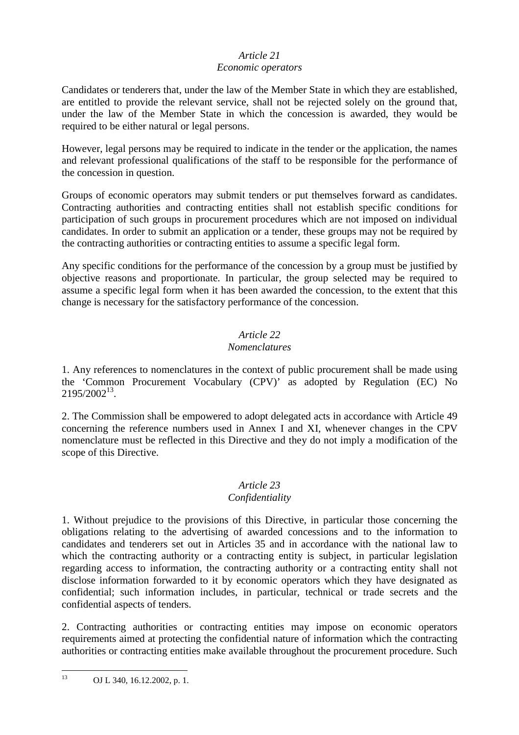# *Article 21*

## *Economic operators*

Candidates or tenderers that, under the law of the Member State in which they are established, are entitled to provide the relevant service, shall not be rejected solely on the ground that, under the law of the Member State in which the concession is awarded, they would be required to be either natural or legal persons.

However, legal persons may be required to indicate in the tender or the application, the names and relevant professional qualifications of the staff to be responsible for the performance of the concession in question.

Groups of economic operators may submit tenders or put themselves forward as candidates. Contracting authorities and contracting entities shall not establish specific conditions for participation of such groups in procurement procedures which are not imposed on individual candidates. In order to submit an application or a tender, these groups may not be required by the contracting authorities or contracting entities to assume a specific legal form.

Any specific conditions for the performance of the concession by a group must be justified by objective reasons and proportionate. In particular, the group selected may be required to assume a specific legal form when it has been awarded the concession, to the extent that this change is necessary for the satisfactory performance of the concession.

## *Article 22*

## *Nomenclatures*

1. Any references to nomenclatures in the context of public procurement shall be made using the 'Common Procurement Vocabulary (CPV)' as adopted by Regulation (EC) No  $2195/2002^{13}$ .

2. The Commission shall be empowered to adopt delegated acts in accordance with Article 49 concerning the reference numbers used in Annex I and XI, whenever changes in the CPV nomenclature must be reflected in this Directive and they do not imply a modification of the scope of this Directive.

# *Article 23*

# *Confidentiality*

1. Without prejudice to the provisions of this Directive, in particular those concerning the obligations relating to the advertising of awarded concessions and to the information to candidates and tenderers set out in Articles 35 and in accordance with the national law to which the contracting authority or a contracting entity is subject, in particular legislation regarding access to information, the contracting authority or a contracting entity shall not disclose information forwarded to it by economic operators which they have designated as confidential; such information includes, in particular, technical or trade secrets and the confidential aspects of tenders.

2. Contracting authorities or contracting entities may impose on economic operators requirements aimed at protecting the confidential nature of information which the contracting authorities or contracting entities make available throughout the procurement procedure. Such

 $13$ OJ L 340, 16.12.2002, p. 1.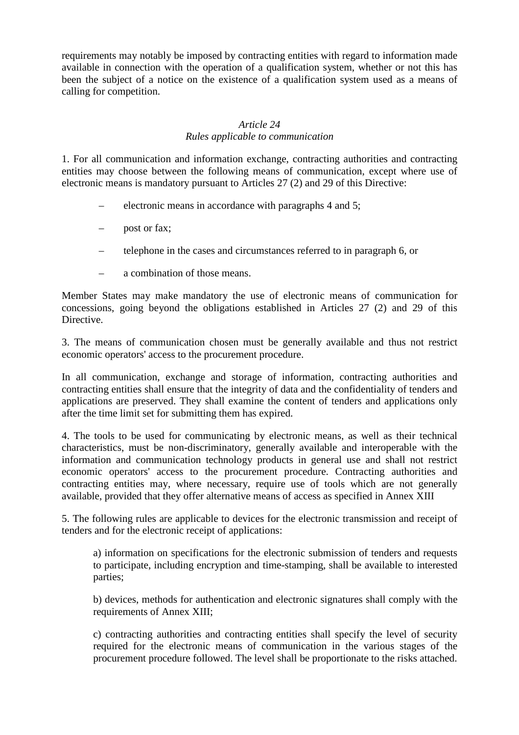requirements may notably be imposed by contracting entities with regard to information made available in connection with the operation of a qualification system, whether or not this has been the subject of a notice on the existence of a qualification system used as a means of calling for competition.

## *Article 24 Rules applicable to communication*

1. For all communication and information exchange, contracting authorities and contracting entities may choose between the following means of communication, except where use of electronic means is mandatory pursuant to Articles 27 (2) and 29 of this Directive:

- electronic means in accordance with paragraphs 4 and 5;
- post or fax;
- telephone in the cases and circumstances referred to in paragraph 6, or
- a combination of those means.

Member States may make mandatory the use of electronic means of communication for concessions, going beyond the obligations established in Articles 27 (2) and 29 of this Directive.

3. The means of communication chosen must be generally available and thus not restrict economic operators' access to the procurement procedure.

In all communication, exchange and storage of information, contracting authorities and contracting entities shall ensure that the integrity of data and the confidentiality of tenders and applications are preserved. They shall examine the content of tenders and applications only after the time limit set for submitting them has expired.

4. The tools to be used for communicating by electronic means, as well as their technical characteristics, must be non-discriminatory, generally available and interoperable with the information and communication technology products in general use and shall not restrict economic operators' access to the procurement procedure. Contracting authorities and contracting entities may, where necessary, require use of tools which are not generally available, provided that they offer alternative means of access as specified in Annex XIII

5. The following rules are applicable to devices for the electronic transmission and receipt of tenders and for the electronic receipt of applications:

a) information on specifications for the electronic submission of tenders and requests to participate, including encryption and time-stamping, shall be available to interested parties;

b) devices, methods for authentication and electronic signatures shall comply with the requirements of Annex XIII;

c) contracting authorities and contracting entities shall specify the level of security required for the electronic means of communication in the various stages of the procurement procedure followed. The level shall be proportionate to the risks attached.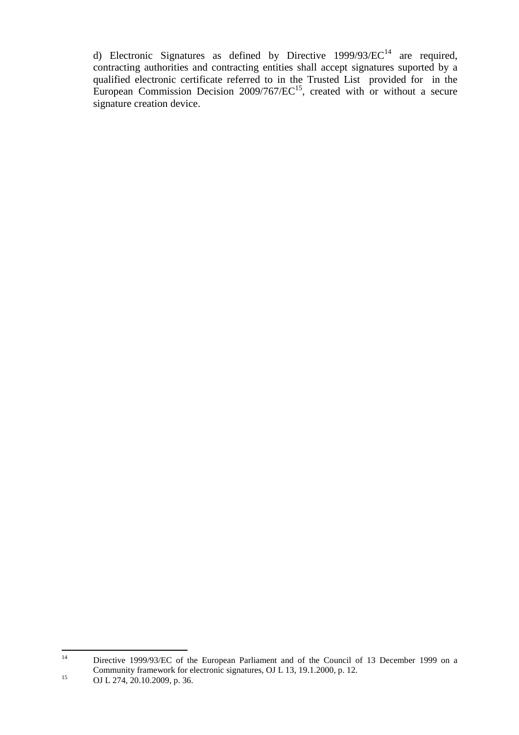d) Electronic Signatures as defined by Directive  $1999/93/EC^{14}$  are required, contracting authorities and contracting entities shall accept signatures suported by a qualified electronic certificate referred to in the Trusted List provided for in the European Commission Decision  $2009/767/EC^{15}$ , created with or without a secure signature creation device.

 $14$ Directive 1999/93/EC of the European Parliament and of the Council of 13 December 1999 on a Community framework for electronic signatures, OJ L 13, 19.1.2000, p. 12.

<sup>15</sup> OJ L 274, 20.10.2009, p. 36.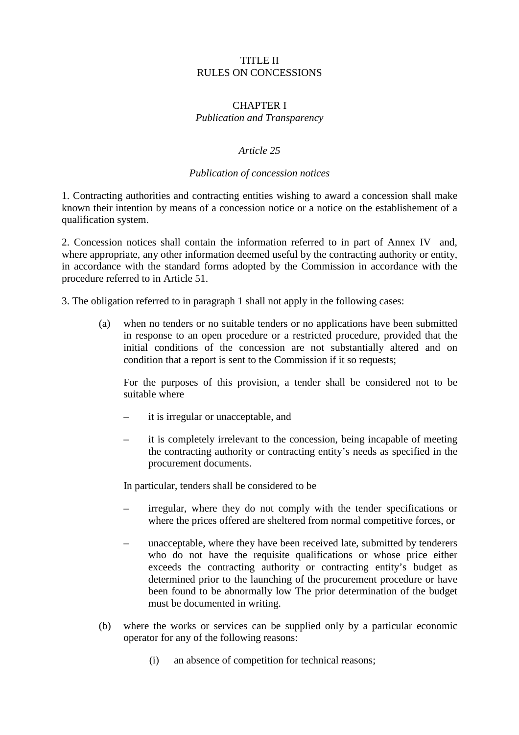#### TITLE II RULES ON CONCESSIONS

## CHAPTER I

## *Publication and Transparency*

#### *Article 25*

## *Publication of concession notices*

1. Contracting authorities and contracting entities wishing to award a concession shall make known their intention by means of a concession notice or a notice on the establishement of a qualification system.

2. Concession notices shall contain the information referred to in part of Annex IV and, where appropriate, any other information deemed useful by the contracting authority or entity, in accordance with the standard forms adopted by the Commission in accordance with the procedure referred to in Article 51.

3. The obligation referred to in paragraph 1 shall not apply in the following cases:

(a) when no tenders or no suitable tenders or no applications have been submitted in response to an open procedure or a restricted procedure, provided that the initial conditions of the concession are not substantially altered and on condition that a report is sent to the Commission if it so requests;

For the purposes of this provision, a tender shall be considered not to be suitable where

- it is irregular or unacceptable, and
- it is completely irrelevant to the concession, being incapable of meeting the contracting authority or contracting entity's needs as specified in the procurement documents.

In particular, tenders shall be considered to be

- irregular, where they do not comply with the tender specifications or where the prices offered are sheltered from normal competitive forces, or
- unacceptable, where they have been received late, submitted by tenderers who do not have the requisite qualifications or whose price either exceeds the contracting authority or contracting entity's budget as determined prior to the launching of the procurement procedure or have been found to be abnormally low The prior determination of the budget must be documented in writing.
- (b) where the works or services can be supplied only by a particular economic operator for any of the following reasons:
	- (i) an absence of competition for technical reasons;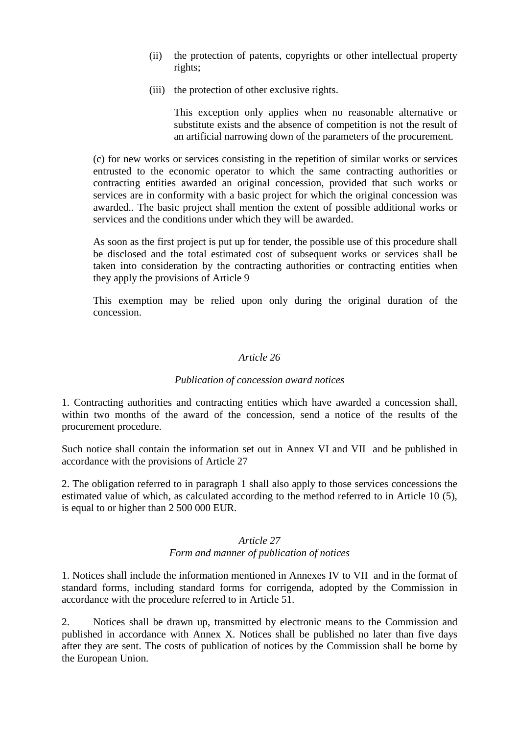- (ii) the protection of patents, copyrights or other intellectual property rights;
- (iii) the protection of other exclusive rights.

This exception only applies when no reasonable alternative or substitute exists and the absence of competition is not the result of an artificial narrowing down of the parameters of the procurement.

(c) for new works or services consisting in the repetition of similar works or services entrusted to the economic operator to which the same contracting authorities or contracting entities awarded an original concession, provided that such works or services are in conformity with a basic project for which the original concession was awarded.. The basic project shall mention the extent of possible additional works or services and the conditions under which they will be awarded.

As soon as the first project is put up for tender, the possible use of this procedure shall be disclosed and the total estimated cost of subsequent works or services shall be taken into consideration by the contracting authorities or contracting entities when they apply the provisions of Article 9

This exemption may be relied upon only during the original duration of the concession.

## *Article 26*

#### *Publication of concession award notices*

1. Contracting authorities and contracting entities which have awarded a concession shall, within two months of the award of the concession, send a notice of the results of the procurement procedure.

Such notice shall contain the information set out in Annex VI and VII and be published in accordance with the provisions of Article 27

2. The obligation referred to in paragraph 1 shall also apply to those services concessions the estimated value of which, as calculated according to the method referred to in Article 10 (5), is equal to or higher than 2 500 000 EUR.

#### *Article 27 Form and manner of publication of notices*

1. Notices shall include the information mentioned in Annexes IV to VII and in the format of standard forms, including standard forms for corrigenda, adopted by the Commission in accordance with the procedure referred to in Article 51.

2. Notices shall be drawn up, transmitted by electronic means to the Commission and published in accordance with Annex X. Notices shall be published no later than five days after they are sent. The costs of publication of notices by the Commission shall be borne by the European Union.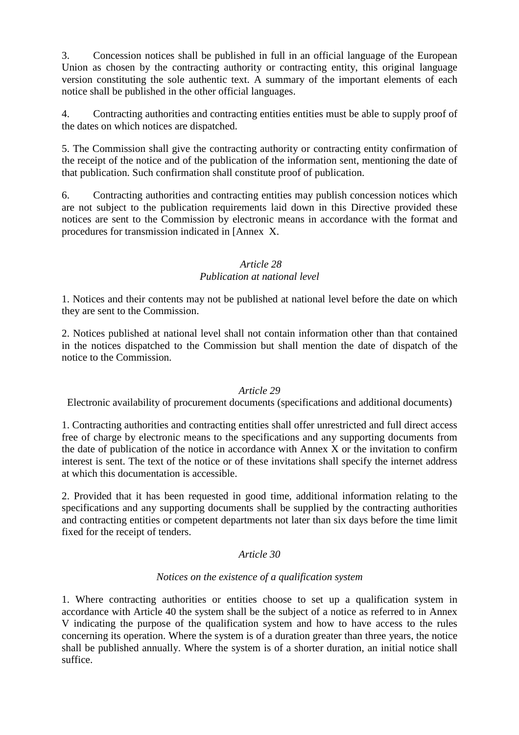3. Concession notices shall be published in full in an official language of the European Union as chosen by the contracting authority or contracting entity, this original language version constituting the sole authentic text. A summary of the important elements of each notice shall be published in the other official languages.

4. Contracting authorities and contracting entities entities must be able to supply proof of the dates on which notices are dispatched.

5. The Commission shall give the contracting authority or contracting entity confirmation of the receipt of the notice and of the publication of the information sent, mentioning the date of that publication. Such confirmation shall constitute proof of publication.

6. Contracting authorities and contracting entities may publish concession notices which are not subject to the publication requirements laid down in this Directive provided these notices are sent to the Commission by electronic means in accordance with the format and procedures for transmission indicated in [Annex X.

## *Article 28*

## *Publication at national level*

1. Notices and their contents may not be published at national level before the date on which they are sent to the Commission.

2. Notices published at national level shall not contain information other than that contained in the notices dispatched to the Commission but shall mention the date of dispatch of the notice to the Commission.

#### *Article 29*

Electronic availability of procurement documents (specifications and additional documents)

1. Contracting authorities and contracting entities shall offer unrestricted and full direct access free of charge by electronic means to the specifications and any supporting documents from the date of publication of the notice in accordance with Annex X or the invitation to confirm interest is sent. The text of the notice or of these invitations shall specify the internet address at which this documentation is accessible.

2. Provided that it has been requested in good time, additional information relating to the specifications and any supporting documents shall be supplied by the contracting authorities and contracting entities or competent departments not later than six days before the time limit fixed for the receipt of tenders.

#### *Article 30*

#### *Notices on the existence of a qualification system*

1. Where contracting authorities or entities choose to set up a qualification system in accordance with Article 40 the system shall be the subject of a notice as referred to in Annex V indicating the purpose of the qualification system and how to have access to the rules concerning its operation. Where the system is of a duration greater than three years, the notice shall be published annually. Where the system is of a shorter duration, an initial notice shall suffice.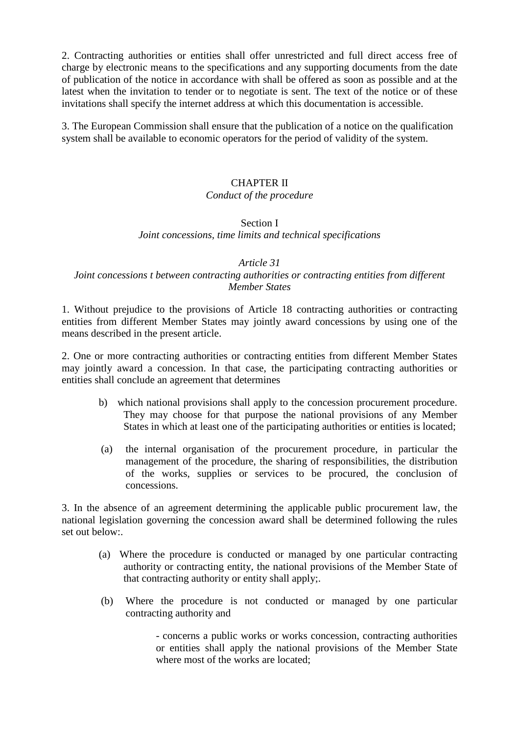2. Contracting authorities or entities shall offer unrestricted and full direct access free of charge by electronic means to the specifications and any supporting documents from the date of publication of the notice in accordance with shall be offered as soon as possible and at the latest when the invitation to tender or to negotiate is sent. The text of the notice or of these invitations shall specify the internet address at which this documentation is accessible.

3. The European Commission shall ensure that the publication of a notice on the qualification system shall be available to economic operators for the period of validity of the system.

## CHAPTER II

#### *Conduct of the procedure*

#### Section I *Joint concessions, time limits and technical specifications*

#### *Article 31*

## *Joint concessions t between contracting authorities or contracting entities from different Member States*

1. Without prejudice to the provisions of Article 18 contracting authorities or contracting entities from different Member States may jointly award concessions by using one of the means described in the present article.

2. One or more contracting authorities or contracting entities from different Member States may jointly award a concession. In that case, the participating contracting authorities or entities shall conclude an agreement that determines

- b) which national provisions shall apply to the concession procurement procedure. They may choose for that purpose the national provisions of any Member States in which at least one of the participating authorities or entities is located;
- (a) the internal organisation of the procurement procedure, in particular the management of the procedure, the sharing of responsibilities, the distribution of the works, supplies or services to be procured, the conclusion of concessions.

3. In the absence of an agreement determining the applicable public procurement law, the national legislation governing the concession award shall be determined following the rules set out below:

- (a) Where the procedure is conducted or managed by one particular contracting authority or contracting entity, the national provisions of the Member State of that contracting authority or entity shall apply;.
- (b) Where the procedure is not conducted or managed by one particular contracting authority and

- concerns a public works or works concession, contracting authorities or entities shall apply the national provisions of the Member State where most of the works are located: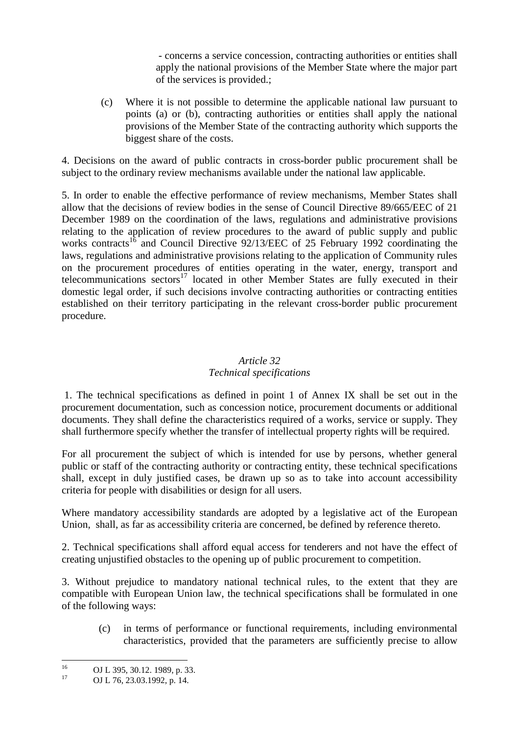- concerns a service concession, contracting authorities or entities shall apply the national provisions of the Member State where the major part of the services is provided.;

(c) Where it is not possible to determine the applicable national law pursuant to points (a) or (b), contracting authorities or entities shall apply the national provisions of the Member State of the contracting authority which supports the biggest share of the costs.

4. Decisions on the award of public contracts in cross-border public procurement shall be subject to the ordinary review mechanisms available under the national law applicable.

5. In order to enable the effective performance of review mechanisms, Member States shall allow that the decisions of review bodies in the sense of Council Directive 89/665/EEC of 21 December 1989 on the coordination of the laws, regulations and administrative provisions relating to the application of review procedures to the award of public supply and public works contracts<sup>16</sup> and Council Directive  $92/13/EEC$  of 25 February 1992 coordinating the laws, regulations and administrative provisions relating to the application of Community rules on the procurement procedures of entities operating in the water, energy, transport and telecommunications sectors<sup>17</sup> located in other Member States are fully executed in their domestic legal order, if such decisions involve contracting authorities or contracting entities established on their territory participating in the relevant cross-border public procurement procedure.

## *Article 32 Technical specifications*

 1. The technical specifications as defined in point 1 of Annex IX shall be set out in the procurement documentation, such as concession notice, procurement documents or additional documents. They shall define the characteristics required of a works, service or supply. They shall furthermore specify whether the transfer of intellectual property rights will be required.

For all procurement the subject of which is intended for use by persons, whether general public or staff of the contracting authority or contracting entity, these technical specifications shall, except in duly justified cases, be drawn up so as to take into account accessibility criteria for people with disabilities or design for all users.

Where mandatory accessibility standards are adopted by a legislative act of the European Union, shall, as far as accessibility criteria are concerned, be defined by reference thereto.

2. Technical specifications shall afford equal access for tenderers and not have the effect of creating unjustified obstacles to the opening up of public procurement to competition.

3. Without prejudice to mandatory national technical rules, to the extent that they are compatible with European Union law, the technical specifications shall be formulated in one of the following ways:

(c) in terms of performance or functional requirements, including environmental characteristics, provided that the parameters are sufficiently precise to allow

<sup>16</sup>  $^{16}$  OJ L 395, 30.12. 1989, p. 33.

OJ L 76, 23.03.1992, p. 14.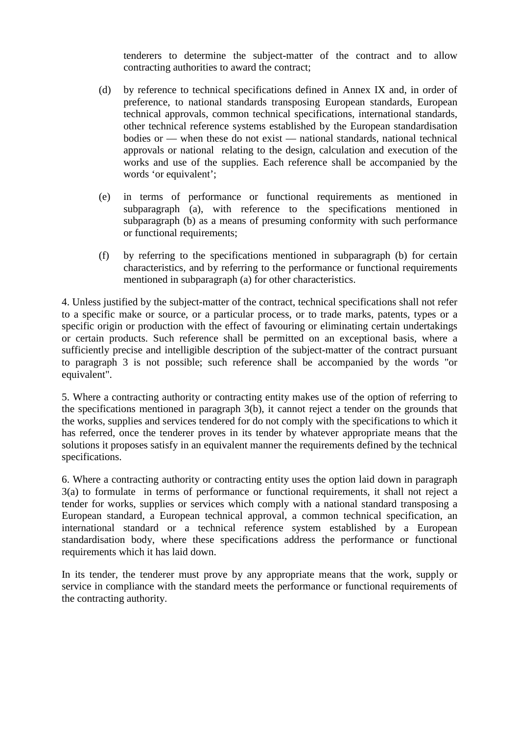tenderers to determine the subject-matter of the contract and to allow contracting authorities to award the contract;

- (d) by reference to technical specifications defined in Annex IX and, in order of preference, to national standards transposing European standards, European technical approvals, common technical specifications, international standards, other technical reference systems established by the European standardisation bodies or — when these do not exist — national standards, national technical approvals or national relating to the design, calculation and execution of the works and use of the supplies. Each reference shall be accompanied by the words 'or equivalent';
- (e) in terms of performance or functional requirements as mentioned in subparagraph (a), with reference to the specifications mentioned in subparagraph (b) as a means of presuming conformity with such performance or functional requirements;
- (f) by referring to the specifications mentioned in subparagraph (b) for certain characteristics, and by referring to the performance or functional requirements mentioned in subparagraph (a) for other characteristics.

4. Unless justified by the subject-matter of the contract, technical specifications shall not refer to a specific make or source, or a particular process, or to trade marks, patents, types or a specific origin or production with the effect of favouring or eliminating certain undertakings or certain products. Such reference shall be permitted on an exceptional basis, where a sufficiently precise and intelligible description of the subject-matter of the contract pursuant to paragraph 3 is not possible; such reference shall be accompanied by the words "or equivalent".

5. Where a contracting authority or contracting entity makes use of the option of referring to the specifications mentioned in paragraph 3(b), it cannot reject a tender on the grounds that the works, supplies and services tendered for do not comply with the specifications to which it has referred, once the tenderer proves in its tender by whatever appropriate means that the solutions it proposes satisfy in an equivalent manner the requirements defined by the technical specifications.

6. Where a contracting authority or contracting entity uses the option laid down in paragraph 3(a) to formulate in terms of performance or functional requirements, it shall not reject a tender for works, supplies or services which comply with a national standard transposing a European standard, a European technical approval, a common technical specification, an international standard or a technical reference system established by a European standardisation body, where these specifications address the performance or functional requirements which it has laid down.

In its tender, the tenderer must prove by any appropriate means that the work, supply or service in compliance with the standard meets the performance or functional requirements of the contracting authority.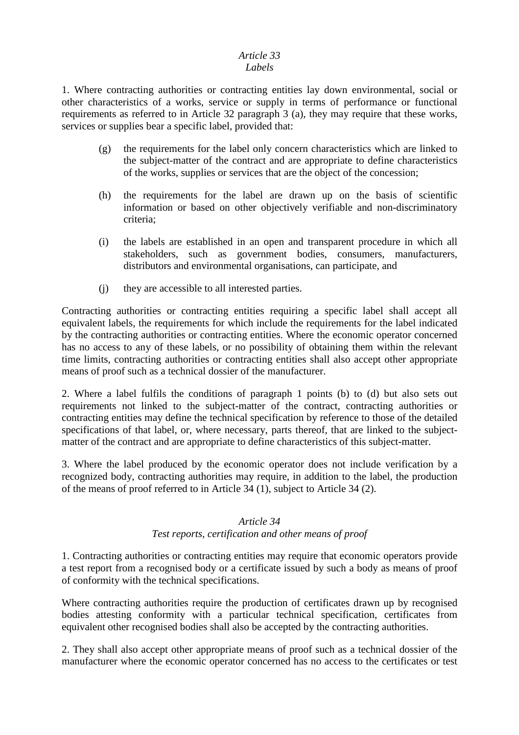#### *Article 33 Labels*

## 1. Where contracting authorities or contracting entities lay down environmental, social or other characteristics of a works, service or supply in terms of performance or functional requirements as referred to in Article 32 paragraph 3 (a), they may require that these works, services or supplies bear a specific label, provided that:

- (g) the requirements for the label only concern characteristics which are linked to the subject-matter of the contract and are appropriate to define characteristics of the works, supplies or services that are the object of the concession;
- (h) the requirements for the label are drawn up on the basis of scientific information or based on other objectively verifiable and non-discriminatory criteria;
- (i) the labels are established in an open and transparent procedure in which all stakeholders, such as government bodies, consumers, manufacturers, distributors and environmental organisations, can participate, and
- (j) they are accessible to all interested parties.

Contracting authorities or contracting entities requiring a specific label shall accept all equivalent labels, the requirements for which include the requirements for the label indicated by the contracting authorities or contracting entities. Where the economic operator concerned has no access to any of these labels, or no possibility of obtaining them within the relevant time limits, contracting authorities or contracting entities shall also accept other appropriate means of proof such as a technical dossier of the manufacturer.

2. Where a label fulfils the conditions of paragraph 1 points (b) to (d) but also sets out requirements not linked to the subject-matter of the contract, contracting authorities or contracting entities may define the technical specification by reference to those of the detailed specifications of that label, or, where necessary, parts thereof, that are linked to the subjectmatter of the contract and are appropriate to define characteristics of this subject-matter.

3. Where the label produced by the economic operator does not include verification by a recognized body, contracting authorities may require, in addition to the label, the production of the means of proof referred to in Article 34 (1), subject to Article 34 (2).

## *Article 34 Test reports, certification and other means of proof*

1. Contracting authorities or contracting entities may require that economic operators provide a test report from a recognised body or a certificate issued by such a body as means of proof of conformity with the technical specifications.

Where contracting authorities require the production of certificates drawn up by recognised bodies attesting conformity with a particular technical specification, certificates from equivalent other recognised bodies shall also be accepted by the contracting authorities.

2. They shall also accept other appropriate means of proof such as a technical dossier of the manufacturer where the economic operator concerned has no access to the certificates or test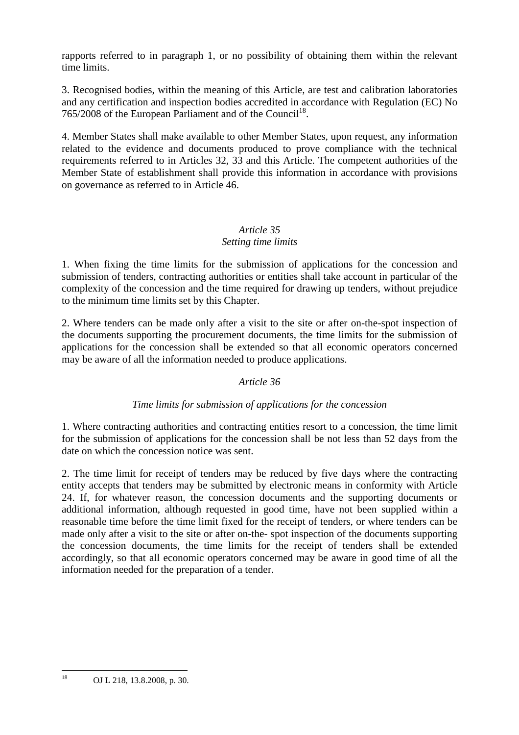rapports referred to in paragraph 1, or no possibility of obtaining them within the relevant time limits.

3. Recognised bodies, within the meaning of this Article, are test and calibration laboratories and any certification and inspection bodies accredited in accordance with Regulation (EC) No 765/2008 of the European Parliament and of the Council<sup>18</sup>.

4. Member States shall make available to other Member States, upon request, any information related to the evidence and documents produced to prove compliance with the technical requirements referred to in Articles 32, 33 and this Article. The competent authorities of the Member State of establishment shall provide this information in accordance with provisions on governance as referred to in Article 46.

## *Article 35 Setting time limits*

1. When fixing the time limits for the submission of applications for the concession and submission of tenders, contracting authorities or entities shall take account in particular of the complexity of the concession and the time required for drawing up tenders, without prejudice to the minimum time limits set by this Chapter.

2. Where tenders can be made only after a visit to the site or after on-the-spot inspection of the documents supporting the procurement documents, the time limits for the submission of applications for the concession shall be extended so that all economic operators concerned may be aware of all the information needed to produce applications.

## *Article 36*

## *Time limits for submission of applications for the concession*

1. Where contracting authorities and contracting entities resort to a concession, the time limit for the submission of applications for the concession shall be not less than 52 days from the date on which the concession notice was sent.

2. The time limit for receipt of tenders may be reduced by five days where the contracting entity accepts that tenders may be submitted by electronic means in conformity with Article 24. If, for whatever reason, the concession documents and the supporting documents or additional information, although requested in good time, have not been supplied within a reasonable time before the time limit fixed for the receipt of tenders, or where tenders can be made only after a visit to the site or after on-the- spot inspection of the documents supporting the concession documents, the time limits for the receipt of tenders shall be extended accordingly, so that all economic operators concerned may be aware in good time of all the information needed for the preparation of a tender.

 $\overline{18}$ OJ L 218, 13.8.2008, p. 30.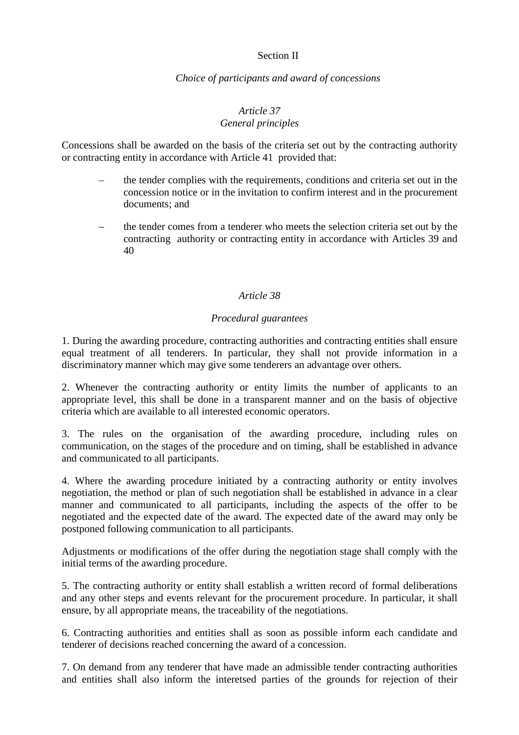## Section II

## *Choice of participants and award of concessions*

#### *Article 37 General principles*

Concessions shall be awarded on the basis of the criteria set out by the contracting authority or contracting entity in accordance with Article 41 provided that:

- the tender complies with the requirements, conditions and criteria set out in the concession notice or in the invitation to confirm interest and in the procurement documents; and
- the tender comes from a tenderer who meets the selection criteria set out by the contracting authority or contracting entity in accordance with Articles 39 and 40

## *Article 38*

## *Procedural guarantees*

1. During the awarding procedure, contracting authorities and contracting entities shall ensure equal treatment of all tenderers. In particular, they shall not provide information in a discriminatory manner which may give some tenderers an advantage over others.

2. Whenever the contracting authority or entity limits the number of applicants to an appropriate level, this shall be done in a transparent manner and on the basis of objective criteria which are available to all interested economic operators.

3. The rules on the organisation of the awarding procedure, including rules on communication, on the stages of the procedure and on timing, shall be established in advance and communicated to all participants.

4. Where the awarding procedure initiated by a contracting authority or entity involves negotiation, the method or plan of such negotiation shall be established in advance in a clear manner and communicated to all participants, including the aspects of the offer to be negotiated and the expected date of the award. The expected date of the award may only be postponed following communication to all participants.

Adjustments or modifications of the offer during the negotiation stage shall comply with the initial terms of the awarding procedure.

5. The contracting authority or entity shall establish a written record of formal deliberations and any other steps and events relevant for the procurement procedure. In particular, it shall ensure, by all appropriate means, the traceability of the negotiations.

6. Contracting authorities and entities shall as soon as possible inform each candidate and tenderer of decisions reached concerning the award of a concession.

7. On demand from any tenderer that have made an admissible tender contracting authorities and entities shall also inform the interetsed parties of the grounds for rejection of their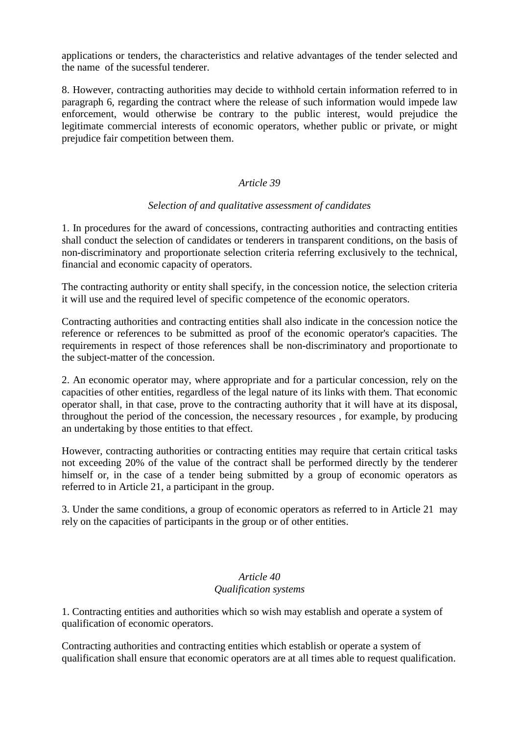applications or tenders, the characteristics and relative advantages of the tender selected and the name of the sucessful tenderer.

8. However, contracting authorities may decide to withhold certain information referred to in paragraph 6, regarding the contract where the release of such information would impede law enforcement, would otherwise be contrary to the public interest, would prejudice the legitimate commercial interests of economic operators, whether public or private, or might prejudice fair competition between them.

#### *Article 39*

## *Selection of and qualitative assessment of candidates*

1. In procedures for the award of concessions, contracting authorities and contracting entities shall conduct the selection of candidates or tenderers in transparent conditions, on the basis of non-discriminatory and proportionate selection criteria referring exclusively to the technical, financial and economic capacity of operators.

The contracting authority or entity shall specify, in the concession notice, the selection criteria it will use and the required level of specific competence of the economic operators.

Contracting authorities and contracting entities shall also indicate in the concession notice the reference or references to be submitted as proof of the economic operator's capacities. The requirements in respect of those references shall be non-discriminatory and proportionate to the subject-matter of the concession.

2. An economic operator may, where appropriate and for a particular concession, rely on the capacities of other entities, regardless of the legal nature of its links with them. That economic operator shall, in that case, prove to the contracting authority that it will have at its disposal, throughout the period of the concession, the necessary resources , for example, by producing an undertaking by those entities to that effect.

However, contracting authorities or contracting entities may require that certain critical tasks not exceeding 20% of the value of the contract shall be performed directly by the tenderer himself or, in the case of a tender being submitted by a group of economic operators as referred to in Article 21, a participant in the group.

3. Under the same conditions, a group of economic operators as referred to in Article 21 may rely on the capacities of participants in the group or of other entities.

## *Article 40 Qualification systems*

1. Contracting entities and authorities which so wish may establish and operate a system of qualification of economic operators.

Contracting authorities and contracting entities which establish or operate a system of qualification shall ensure that economic operators are at all times able to request qualification.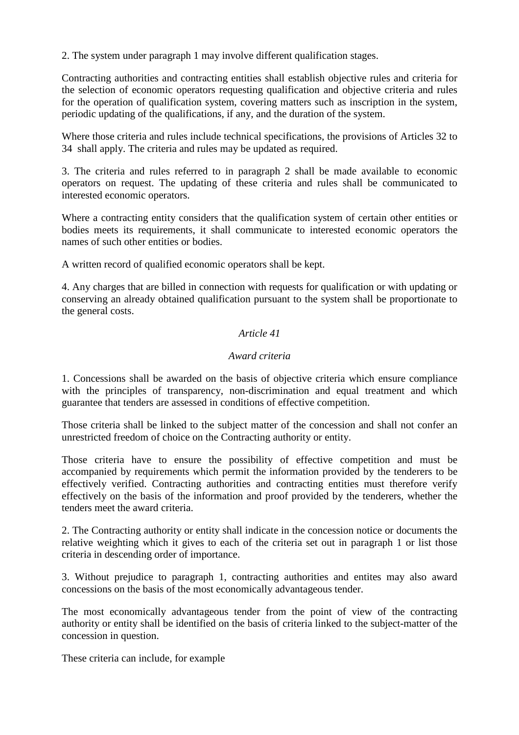2. The system under paragraph 1 may involve different qualification stages.

Contracting authorities and contracting entities shall establish objective rules and criteria for the selection of economic operators requesting qualification and objective criteria and rules for the operation of qualification system, covering matters such as inscription in the system, periodic updating of the qualifications, if any, and the duration of the system.

Where those criteria and rules include technical specifications, the provisions of Articles 32 to 34 shall apply. The criteria and rules may be updated as required.

3. The criteria and rules referred to in paragraph 2 shall be made available to economic operators on request. The updating of these criteria and rules shall be communicated to interested economic operators.

Where a contracting entity considers that the qualification system of certain other entities or bodies meets its requirements, it shall communicate to interested economic operators the names of such other entities or bodies.

A written record of qualified economic operators shall be kept.

4. Any charges that are billed in connection with requests for qualification or with updating or conserving an already obtained qualification pursuant to the system shall be proportionate to the general costs.

## *Article 41*

#### *Award criteria*

1. Concessions shall be awarded on the basis of objective criteria which ensure compliance with the principles of transparency, non-discrimination and equal treatment and which guarantee that tenders are assessed in conditions of effective competition.

Those criteria shall be linked to the subject matter of the concession and shall not confer an unrestricted freedom of choice on the Contracting authority or entity.

Those criteria have to ensure the possibility of effective competition and must be accompanied by requirements which permit the information provided by the tenderers to be effectively verified. Contracting authorities and contracting entities must therefore verify effectively on the basis of the information and proof provided by the tenderers, whether the tenders meet the award criteria.

2. The Contracting authority or entity shall indicate in the concession notice or documents the relative weighting which it gives to each of the criteria set out in paragraph 1 or list those criteria in descending order of importance.

3. Without prejudice to paragraph 1, contracting authorities and entites may also award concessions on the basis of the most economically advantageous tender.

The most economically advantageous tender from the point of view of the contracting authority or entity shall be identified on the basis of criteria linked to the subject-matter of the concession in question.

These criteria can include, for example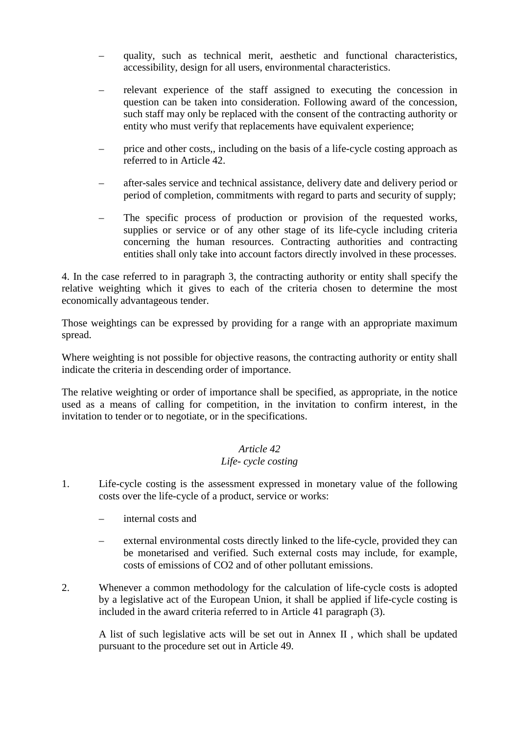- quality, such as technical merit, aesthetic and functional characteristics, accessibility, design for all users, environmental characteristics.
- relevant experience of the staff assigned to executing the concession in question can be taken into consideration. Following award of the concession, such staff may only be replaced with the consent of the contracting authority or entity who must verify that replacements have equivalent experience;
- price and other costs,, including on the basis of a life-cycle costing approach as referred to in Article 42.
- after-sales service and technical assistance, delivery date and delivery period or period of completion, commitments with regard to parts and security of supply;
- The specific process of production or provision of the requested works, supplies or service or of any other stage of its life-cycle including criteria concerning the human resources. Contracting authorities and contracting entities shall only take into account factors directly involved in these processes.

4. In the case referred to in paragraph 3, the contracting authority or entity shall specify the relative weighting which it gives to each of the criteria chosen to determine the most economically advantageous tender.

Those weightings can be expressed by providing for a range with an appropriate maximum spread.

Where weighting is not possible for objective reasons, the contracting authority or entity shall indicate the criteria in descending order of importance.

The relative weighting or order of importance shall be specified, as appropriate, in the notice used as a means of calling for competition, in the invitation to confirm interest, in the invitation to tender or to negotiate, or in the specifications.

## *Article 42 Life- cycle costing*

- 1. Life-cycle costing is the assessment expressed in monetary value of the following costs over the life-cycle of a product, service or works:
	- internal costs and
	- external environmental costs directly linked to the life-cycle, provided they can be monetarised and verified. Such external costs may include, for example, costs of emissions of CO2 and of other pollutant emissions.
- 2. Whenever a common methodology for the calculation of life-cycle costs is adopted by a legislative act of the European Union, it shall be applied if life-cycle costing is included in the award criteria referred to in Article 41 paragraph (3).

A list of such legislative acts will be set out in Annex II , which shall be updated pursuant to the procedure set out in Article 49.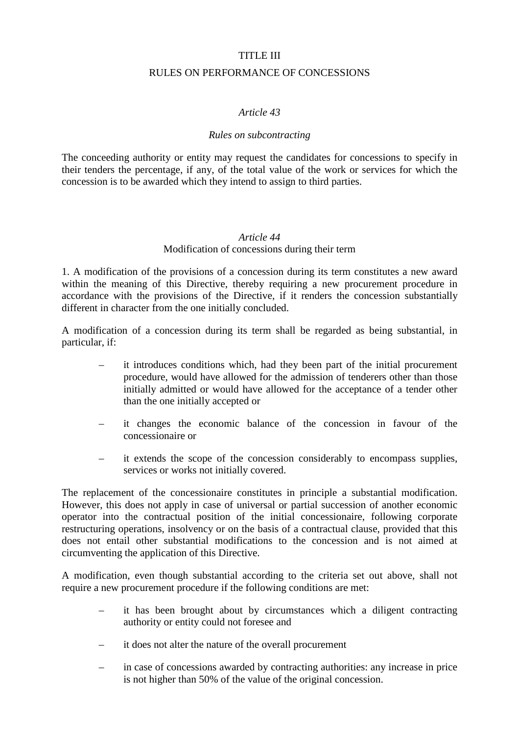## TITLE III

#### RULES ON PERFORMANCE OF CONCESSIONS

## *Article 43*

#### *Rules on subcontracting*

The conceeding authority or entity may request the candidates for concessions to specify in their tenders the percentage, if any, of the total value of the work or services for which the concession is to be awarded which they intend to assign to third parties.

#### *Article 44*  Modification of concessions during their term

1. A modification of the provisions of a concession during its term constitutes a new award within the meaning of this Directive, thereby requiring a new procurement procedure in accordance with the provisions of the Directive, if it renders the concession substantially different in character from the one initially concluded.

A modification of a concession during its term shall be regarded as being substantial, in particular, if:

- it introduces conditions which, had they been part of the initial procurement procedure, would have allowed for the admission of tenderers other than those initially admitted or would have allowed for the acceptance of a tender other than the one initially accepted or
- it changes the economic balance of the concession in favour of the concessionaire or
- it extends the scope of the concession considerably to encompass supplies, services or works not initially covered.

The replacement of the concessionaire constitutes in principle a substantial modification. However, this does not apply in case of universal or partial succession of another economic operator into the contractual position of the initial concessionaire, following corporate restructuring operations, insolvency or on the basis of a contractual clause, provided that this does not entail other substantial modifications to the concession and is not aimed at circumventing the application of this Directive.

A modification, even though substantial according to the criteria set out above, shall not require a new procurement procedure if the following conditions are met:

- it has been brought about by circumstances which a diligent contracting authority or entity could not foresee and
- it does not alter the nature of the overall procurement
- in case of concessions awarded by contracting authorities: any increase in price is not higher than 50% of the value of the original concession.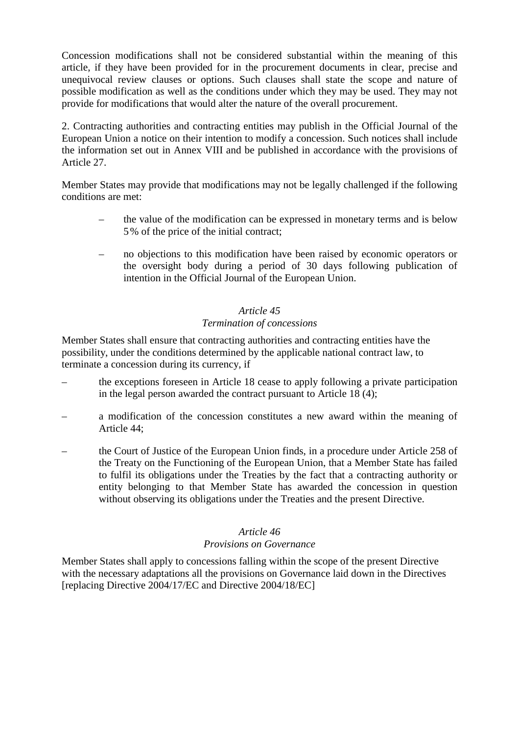Concession modifications shall not be considered substantial within the meaning of this article, if they have been provided for in the procurement documents in clear, precise and unequivocal review clauses or options. Such clauses shall state the scope and nature of possible modification as well as the conditions under which they may be used. They may not provide for modifications that would alter the nature of the overall procurement.

2. Contracting authorities and contracting entities may publish in the Official Journal of the European Union a notice on their intention to modify a concession. Such notices shall include the information set out in Annex VIII and be published in accordance with the provisions of Article 27.

Member States may provide that modifications may not be legally challenged if the following conditions are met:

- the value of the modification can be expressed in monetary terms and is below 5% of the price of the initial contract;
- no objections to this modification have been raised by economic operators or the oversight body during a period of 30 days following publication of intention in the Official Journal of the European Union.

## *Article 45 Termination of concessions*

Member States shall ensure that contracting authorities and contracting entities have the possibility, under the conditions determined by the applicable national contract law, to terminate a concession during its currency, if

- the exceptions foreseen in Article 18 cease to apply following a private participation in the legal person awarded the contract pursuant to Article 18 (4);
- a modification of the concession constitutes a new award within the meaning of Article 44;
- the Court of Justice of the European Union finds, in a procedure under Article 258 of the Treaty on the Functioning of the European Union, that a Member State has failed to fulfil its obligations under the Treaties by the fact that a contracting authority or entity belonging to that Member State has awarded the concession in question without observing its obligations under the Treaties and the present Directive.

## *Article 46*

## *Provisions on Governance*

Member States shall apply to concessions falling within the scope of the present Directive with the necessary adaptations all the provisions on Governance laid down in the Directives [replacing Directive 2004/17/EC and Directive 2004/18/EC]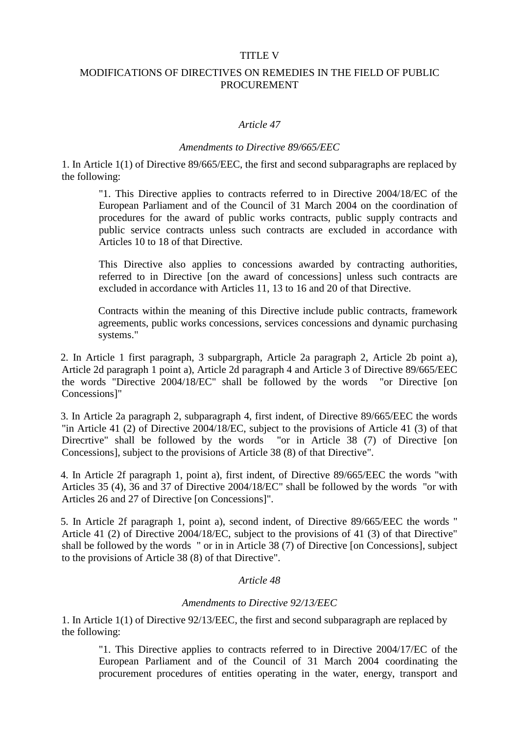#### TITLE V

## MODIFICATIONS OF DIRECTIVES ON REMEDIES IN THE FIELD OF PUBLIC **PROCUREMENT**

#### *Article 47*

#### *Amendments to Directive 89/665/EEC*

1. In Article 1(1) of Directive 89/665/EEC, the first and second subparagraphs are replaced by the following:

"1. This Directive applies to contracts referred to in Directive 2004/18/EC of the European Parliament and of the Council of 31 March 2004 on the coordination of procedures for the award of public works contracts, public supply contracts and public service contracts unless such contracts are excluded in accordance with Articles 10 to 18 of that Directive.

This Directive also applies to concessions awarded by contracting authorities, referred to in Directive [on the award of concessions] unless such contracts are excluded in accordance with Articles 11, 13 to 16 and 20 of that Directive.

Contracts within the meaning of this Directive include public contracts, framework agreements, public works concessions, services concessions and dynamic purchasing systems."

2. In Article 1 first paragraph, 3 subpargraph, Article 2a paragraph 2, Article 2b point a), Article 2d paragraph 1 point a), Article 2d paragraph 4 and Article 3 of Directive 89/665/EEC the words "Directive 2004/18/EC" shall be followed by the words "or Directive [on Concessions]"

3. In Article 2a paragraph 2, subparagraph 4, first indent, of Directive 89/665/EEC the words "in Article 41 (2) of Directive 2004/18/EC, subject to the provisions of Article 41 (3) of that Direcrtive" shall be followed by the words "or in Article 38 (7) of Directive [on Concessions], subject to the provisions of Article 38 (8) of that Directive".

4. In Article 2f paragraph 1, point a), first indent, of Directive 89/665/EEC the words "with Articles 35 (4), 36 and 37 of Directive 2004/18/EC" shall be followed by the words "or with Articles 26 and 27 of Directive [on Concessions]".

5. In Article 2f paragraph 1, point a), second indent, of Directive 89/665/EEC the words " Article 41 (2) of Directive 2004/18/EC, subject to the provisions of 41 (3) of that Directive" shall be followed by the words " or in in Article 38 (7) of Directive [on Concessions], subject to the provisions of Article 38 (8) of that Directive".

#### *Article 48*

#### *Amendments to Directive 92/13/EEC*

1. In Article 1(1) of Directive 92/13/EEC, the first and second subparagraph are replaced by the following:

"1. This Directive applies to contracts referred to in Directive 2004/17/EC of the European Parliament and of the Council of 31 March 2004 coordinating the procurement procedures of entities operating in the water, energy, transport and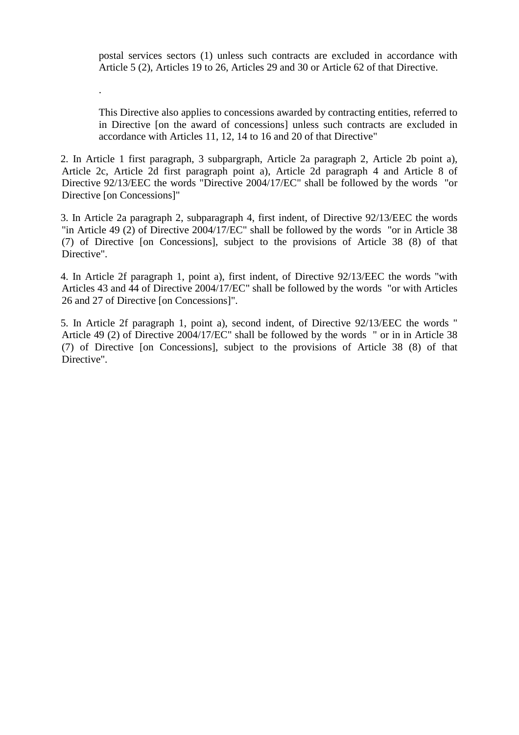postal services sectors (1) unless such contracts are excluded in accordance with Article 5 (2), Articles 19 to 26, Articles 29 and 30 or Article 62 of that Directive.

This Directive also applies to concessions awarded by contracting entities, referred to in Directive [on the award of concessions] unless such contracts are excluded in accordance with Articles 11, 12, 14 to 16 and 20 of that Directive"

2. In Article 1 first paragraph, 3 subpargraph, Article 2a paragraph 2, Article 2b point a), Article 2c, Article 2d first paragraph point a), Article 2d paragraph 4 and Article 8 of Directive 92/13/EEC the words "Directive 2004/17/EC" shall be followed by the words "or Directive [on Concessions]"

.

3. In Article 2a paragraph 2, subparagraph 4, first indent, of Directive 92/13/EEC the words "in Article 49 (2) of Directive 2004/17/EC" shall be followed by the words "or in Article 38 (7) of Directive [on Concessions], subject to the provisions of Article 38 (8) of that Directive".

4. In Article 2f paragraph 1, point a), first indent, of Directive 92/13/EEC the words "with Articles 43 and 44 of Directive 2004/17/EC" shall be followed by the words "or with Articles 26 and 27 of Directive [on Concessions]".

5. In Article 2f paragraph 1, point a), second indent, of Directive 92/13/EEC the words " Article 49 (2) of Directive 2004/17/EC" shall be followed by the words " or in in Article 38 (7) of Directive [on Concessions], subject to the provisions of Article 38 (8) of that Directive".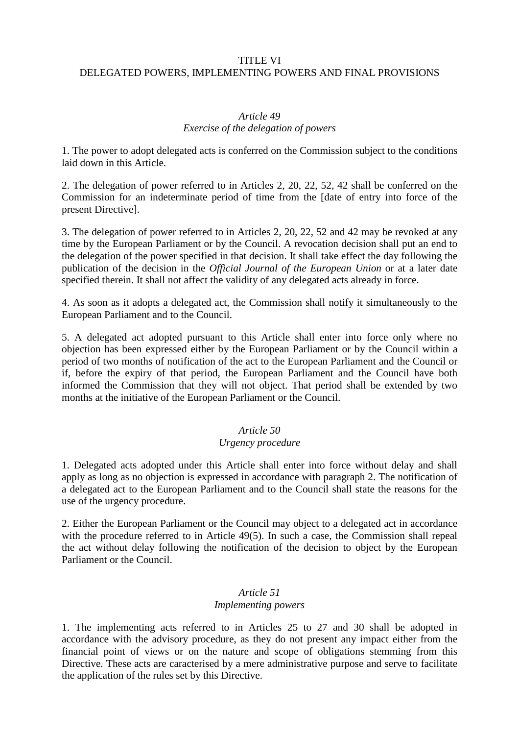#### TITLE VI

#### DELEGATED POWERS, IMPLEMENTING POWERS AND FINAL PROVISIONS

#### *Article 49 Exercise of the delegation of powers*

1. The power to adopt delegated acts is conferred on the Commission subject to the conditions laid down in this Article.

2. The delegation of power referred to in Articles 2, 20, 22, 52, 42 shall be conferred on the Commission for an indeterminate period of time from the [date of entry into force of the present Directive].

3. The delegation of power referred to in Articles 2, 20, 22, 52 and 42 may be revoked at any time by the European Parliament or by the Council. A revocation decision shall put an end to the delegation of the power specified in that decision. It shall take effect the day following the publication of the decision in the *Official Journal of the European Union* or at a later date specified therein. It shall not affect the validity of any delegated acts already in force.

4. As soon as it adopts a delegated act, the Commission shall notify it simultaneously to the European Parliament and to the Council.

5. A delegated act adopted pursuant to this Article shall enter into force only where no objection has been expressed either by the European Parliament or by the Council within a period of two months of notification of the act to the European Parliament and the Council or if, before the expiry of that period, the European Parliament and the Council have both informed the Commission that they will not object. That period shall be extended by two months at the initiative of the European Parliament or the Council.

## *Article 50*

## *Urgency procedure*

1. Delegated acts adopted under this Article shall enter into force without delay and shall apply as long as no objection is expressed in accordance with paragraph 2. The notification of a delegated act to the European Parliament and to the Council shall state the reasons for the use of the urgency procedure.

2. Either the European Parliament or the Council may object to a delegated act in accordance with the procedure referred to in Article 49(5). In such a case, the Commission shall repeal the act without delay following the notification of the decision to object by the European Parliament or the Council.

## *Article 51*

## *Implementing powers*

1. The implementing acts referred to in Articles 25 to 27 and 30 shall be adopted in accordance with the advisory procedure, as they do not present any impact either from the financial point of views or on the nature and scope of obligations stemming from this Directive. These acts are caracterised by a mere administrative purpose and serve to facilitate the application of the rules set by this Directive.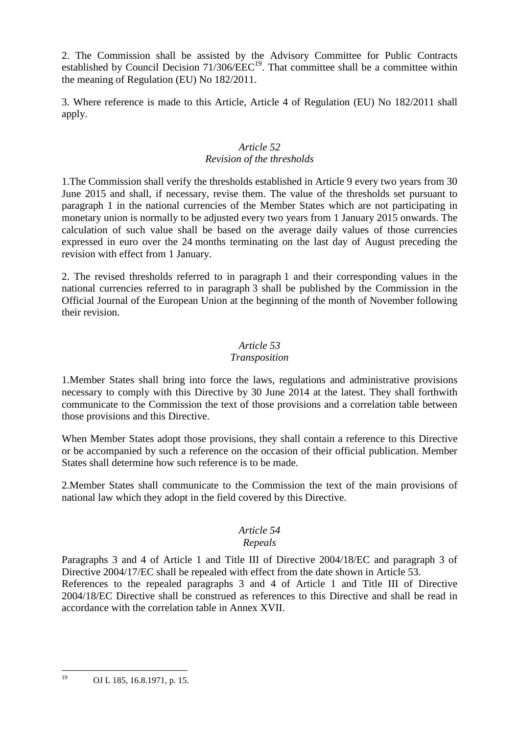2. The Commission shall be assisted by the Advisory Committee for Public Contracts established by Council Decision  $71/306/EEC^{19}$ . That committee shall be a committee within the meaning of Regulation (EU) No 182/2011.

3. Where reference is made to this Article, Article 4 of Regulation (EU) No 182/2011 shall apply.

## *Article 52 Revision of the thresholds*

1.The Commission shall verify the thresholds established in Article 9 every two years from 30 June 2015 and shall, if necessary, revise them. The value of the thresholds set pursuant to paragraph 1 in the national currencies of the Member States which are not participating in monetary union is normally to be adjusted every two years from 1 January 2015 onwards. The calculation of such value shall be based on the average daily values of those currencies expressed in euro over the 24 months terminating on the last day of August preceding the revision with effect from 1 January.

2. The revised thresholds referred to in paragraph 1 and their corresponding values in the national currencies referred to in paragraph 3 shall be published by the Commission in the Official Journal of the European Union at the beginning of the month of November following their revision.

## *Article 53*

## *Transposition*

1.Member States shall bring into force the laws, regulations and administrative provisions necessary to comply with this Directive by 30 June 2014 at the latest. They shall forthwith communicate to the Commission the text of those provisions and a correlation table between those provisions and this Directive.

When Member States adopt those provisions, they shall contain a reference to this Directive or be accompanied by such a reference on the occasion of their official publication. Member States shall determine how such reference is to be made.

2.Member States shall communicate to the Commission the text of the main provisions of national law which they adopt in the field covered by this Directive.

## *Article 54*

## *Repeals*

Paragraphs 3 and 4 of Article 1 and Title III of Directive 2004/18/EC and paragraph 3 of Directive 2004/17/EC shall be repealed with effect from the date shown in Article 53. References to the repealed paragraphs 3 and 4 of Article 1 and Title III of Directive 2004/18/EC Directive shall be construed as references to this Directive and shall be read in accordance with the correlation table in Annex XVII.

 $19$ OJ L 185, 16.8.1971, p. 15.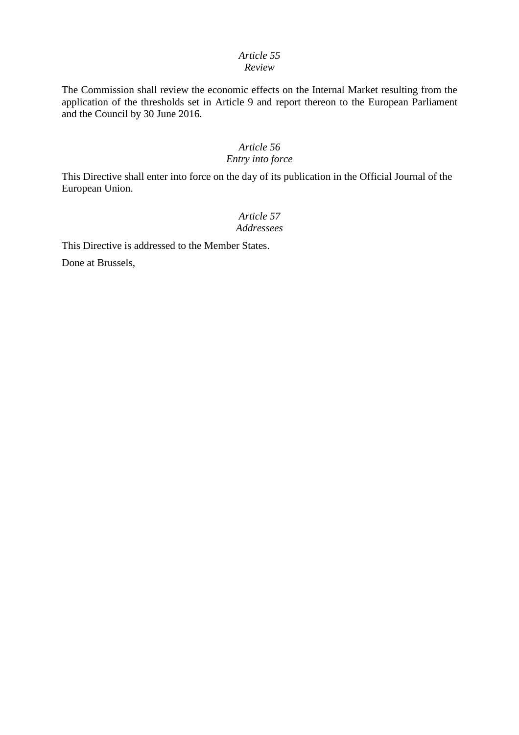# *Article 55*

## *Review*

The Commission shall review the economic effects on the Internal Market resulting from the application of the thresholds set in Article 9 and report thereon to the European Parliament and the Council by 30 June 2016.

## *Article 56 Entry into force*

This Directive shall enter into force on the day of its publication in the Official Journal of the European Union.

## *Article 57 Addressees*

This Directive is addressed to the Member States.

Done at Brussels,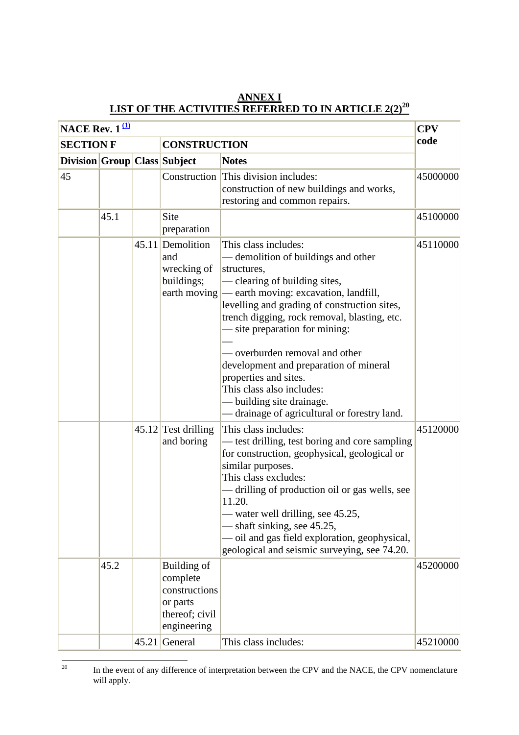| NACE Rev. $1^{(\underline{1})}$ |      |  |                                                                                       |                                                                                                                                                                                                                                                                                                                                                                                                                                                                                                                             | <b>CPV</b> |
|---------------------------------|------|--|---------------------------------------------------------------------------------------|-----------------------------------------------------------------------------------------------------------------------------------------------------------------------------------------------------------------------------------------------------------------------------------------------------------------------------------------------------------------------------------------------------------------------------------------------------------------------------------------------------------------------------|------------|
| <b>SECTION F</b>                |      |  | <b>CONSTRUCTION</b>                                                                   |                                                                                                                                                                                                                                                                                                                                                                                                                                                                                                                             | code       |
| Division Group Class Subject    |      |  |                                                                                       | <b>Notes</b>                                                                                                                                                                                                                                                                                                                                                                                                                                                                                                                |            |
| 45                              |      |  | Construction                                                                          | This division includes:<br>construction of new buildings and works,<br>restoring and common repairs.                                                                                                                                                                                                                                                                                                                                                                                                                        | 45000000   |
|                                 | 45.1 |  | Site<br>preparation                                                                   |                                                                                                                                                                                                                                                                                                                                                                                                                                                                                                                             | 45100000   |
|                                 |      |  | 45.11 Demolition<br>and<br>wrecking of<br>buildings;                                  | This class includes:<br>demolition of buildings and other<br>structures,<br>clearing of building sites,<br>earth moving $\left  \right $ earth moving: excavation, landfill,<br>levelling and grading of construction sites,<br>trench digging, rock removal, blasting, etc.<br>- site preparation for mining:<br>- overburden removal and other<br>development and preparation of mineral<br>properties and sites.<br>This class also includes:<br>- building site drainage.<br>drainage of agricultural or forestry land. | 45110000   |
|                                 |      |  | $45.12$ Test drilling<br>and boring                                                   | This class includes:<br>— test drilling, test boring and core sampling<br>for construction, geophysical, geological or<br>similar purposes.<br>This class excludes:<br>— drilling of production oil or gas wells, see<br>11.20.<br>— water well drilling, see 45.25,<br>- shaft sinking, see 45.25,<br>oil and gas field exploration, geophysical,<br>geological and seismic surveying, see 74.20.                                                                                                                          | 45120000   |
|                                 | 45.2 |  | Building of<br>complete<br>constructions<br>or parts<br>thereof; civil<br>engineering |                                                                                                                                                                                                                                                                                                                                                                                                                                                                                                                             | 45200000   |
|                                 |      |  | $45.21$ General                                                                       | This class includes:                                                                                                                                                                                                                                                                                                                                                                                                                                                                                                        | 45210000   |

## **ANNEX I LIST OF THE ACTIVITIES REFERRED TO IN ARTICLE 2(2)<sup>20</sup>**

 $20\,$ In the event of any difference of interpretation between the CPV and the NACE, the CPV nomenclature will apply.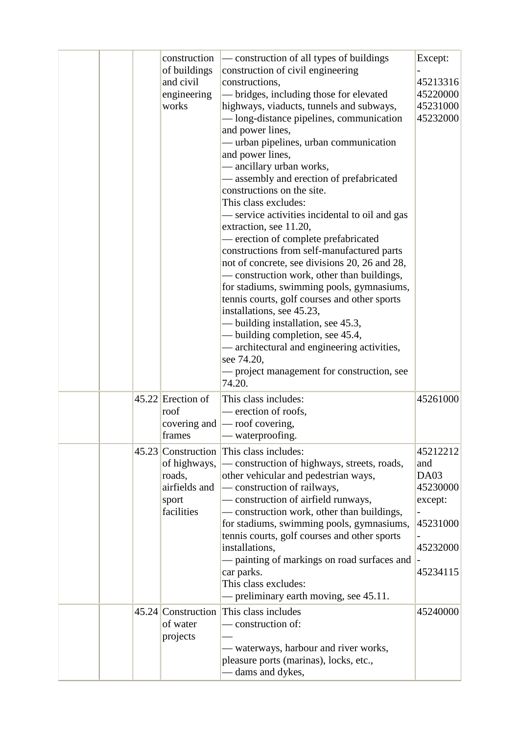|  | construction<br>of buildings<br>and civil<br>engineering<br>works | — construction of all types of buildings<br>construction of civil engineering<br>constructions,<br>- bridges, including those for elevated<br>highways, viaducts, tunnels and subways,<br>- long-distance pipelines, communication<br>and power lines,<br>— urban pipelines, urban communication<br>and power lines,<br>— ancillary urban works,<br>— assembly and erection of prefabricated<br>constructions on the site.<br>This class excludes:<br>— service activities incidental to oil and gas<br>extraction, see 11.20,<br>- erection of complete prefabricated<br>constructions from self-manufactured parts<br>not of concrete, see divisions 20, 26 and 28,<br>— construction work, other than buildings,<br>for stadiums, swimming pools, gymnasiums,<br>tennis courts, golf courses and other sports<br>installations, see 45.23,<br>- building installation, see 45.3,<br>— building completion, see 45.4,<br>- architectural and engineering activities,<br>see 74.20,<br>— project management for construction, see | Except:<br>45213316<br>45220000<br>45231000<br>45232000                            |
|--|-------------------------------------------------------------------|------------------------------------------------------------------------------------------------------------------------------------------------------------------------------------------------------------------------------------------------------------------------------------------------------------------------------------------------------------------------------------------------------------------------------------------------------------------------------------------------------------------------------------------------------------------------------------------------------------------------------------------------------------------------------------------------------------------------------------------------------------------------------------------------------------------------------------------------------------------------------------------------------------------------------------------------------------------------------------------------------------------------------------|------------------------------------------------------------------------------------|
|  | $45.22$ Erection of<br>roof<br>frames                             | 74.20.<br>This class includes:<br>— erection of roofs,<br>covering and $\sim$ roof covering,<br>— waterproofing.                                                                                                                                                                                                                                                                                                                                                                                                                                                                                                                                                                                                                                                                                                                                                                                                                                                                                                                   | 45261000                                                                           |
|  | of highways,<br>roads,<br>airfields and<br>sport<br>facilities    | 45.23 Construction This class includes:<br>- construction of highways, streets, roads,<br>other vehicular and pedestrian ways,<br>— construction of railways,<br>- construction of airfield runways,<br>- construction work, other than buildings,<br>for stadiums, swimming pools, gymnasiums,<br>tennis courts, golf courses and other sports<br>installations,<br>- painting of markings on road surfaces and<br>car parks.<br>This class excludes:<br>- preliminary earth moving, see 45.11.                                                                                                                                                                                                                                                                                                                                                                                                                                                                                                                                   | 45212212<br>and<br>DA03<br>45230000<br>except:<br>45231000<br>45232000<br>45234115 |
|  | of water<br>projects                                              | 45.24 Construction This class includes<br>— construction of:<br>— waterways, harbour and river works,<br>pleasure ports (marinas), locks, etc.,<br>— dams and dykes,                                                                                                                                                                                                                                                                                                                                                                                                                                                                                                                                                                                                                                                                                                                                                                                                                                                               | 45240000                                                                           |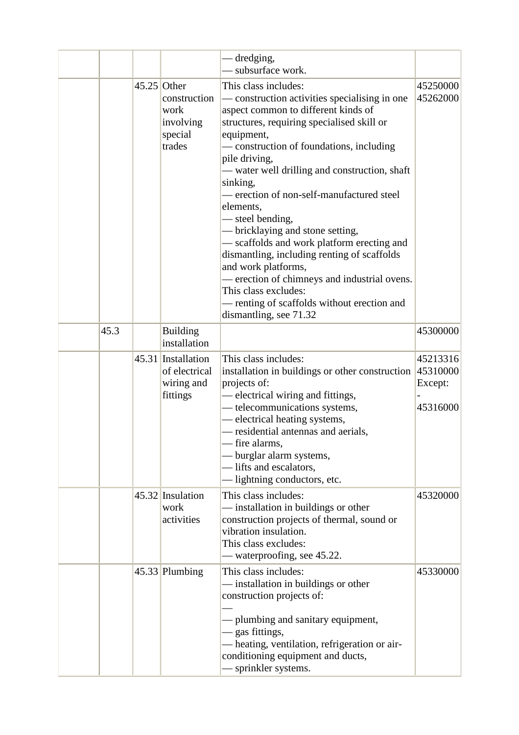|      |               |                                                               | dredging,<br>subsurface work.                                                                                                                                                                                                                                                                                                                                                                                                                                                                                                                                                                                                                                                         |                                             |
|------|---------------|---------------------------------------------------------------|---------------------------------------------------------------------------------------------------------------------------------------------------------------------------------------------------------------------------------------------------------------------------------------------------------------------------------------------------------------------------------------------------------------------------------------------------------------------------------------------------------------------------------------------------------------------------------------------------------------------------------------------------------------------------------------|---------------------------------------------|
|      | $45.25$ Other | construction<br>work<br>involving<br>special<br>trades        | This class includes:<br>construction activities specialising in one<br>aspect common to different kinds of<br>structures, requiring specialised skill or<br>equipment,<br>- construction of foundations, including<br>pile driving,<br>— water well drilling and construction, shaft<br>sinking,<br>- erection of non-self-manufactured steel<br>elements,<br>— steel bending,<br>— bricklaying and stone setting,<br>— scaffolds and work platform erecting and<br>dismantling, including renting of scaffolds<br>and work platforms,<br>erection of chimneys and industrial ovens.<br>This class excludes:<br>- renting of scaffolds without erection and<br>dismantling, see 71.32 | 45250000<br>45262000                        |
| 45.3 |               | <b>Building</b><br>installation                               |                                                                                                                                                                                                                                                                                                                                                                                                                                                                                                                                                                                                                                                                                       | 45300000                                    |
|      |               | 45.31 Installation<br>of electrical<br>wiring and<br>fittings | This class includes:<br>installation in buildings or other construction<br>projects of:<br>electrical wiring and fittings,<br>- telecommunications systems,<br>- electrical heating systems,<br>— residential antennas and aerials,<br>- fire alarms,<br>- burglar alarm systems,<br>- lifts and escalators,<br>lightning conductors, etc.                                                                                                                                                                                                                                                                                                                                            | 45213316<br>45310000<br>Except:<br>45316000 |
|      |               | 45.32 Insulation<br>work<br>activities                        | This class includes:<br>- installation in buildings or other<br>construction projects of thermal, sound or<br>vibration insulation.<br>This class excludes:<br>- waterproofing, see 45.22.                                                                                                                                                                                                                                                                                                                                                                                                                                                                                            | 45320000                                    |
|      |               | $45.33$ Plumbing                                              | This class includes:<br>- installation in buildings or other<br>construction projects of:<br>- plumbing and sanitary equipment,<br>- gas fittings,<br>- heating, ventilation, refrigeration or air-<br>conditioning equipment and ducts,<br>sprinkler systems.                                                                                                                                                                                                                                                                                                                                                                                                                        | 45330000                                    |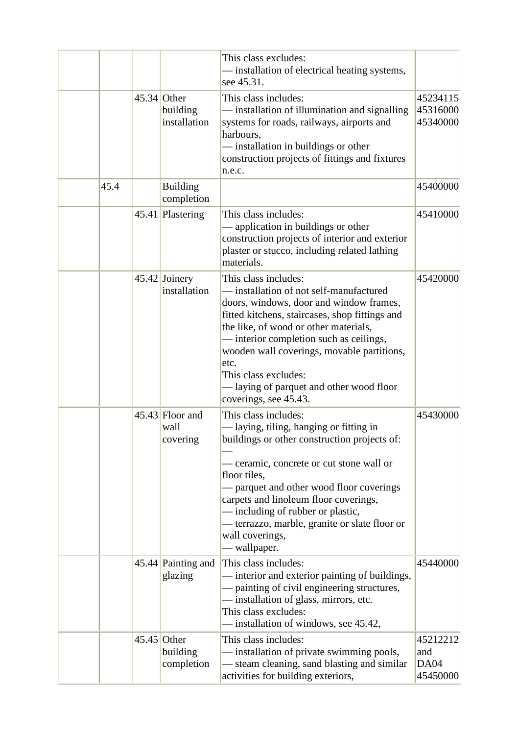|      |               |                                           | This class excludes:<br>- installation of electrical heating systems,<br>see 45.31.                                                                                                                                                                                                                                                                                                                 |                                     |
|------|---------------|-------------------------------------------|-----------------------------------------------------------------------------------------------------------------------------------------------------------------------------------------------------------------------------------------------------------------------------------------------------------------------------------------------------------------------------------------------------|-------------------------------------|
|      |               | $45.34$ Other<br>building<br>installation | This class includes:<br>— installation of illumination and signalling<br>systems for roads, railways, airports and<br>harbours,<br>installation in buildings or other<br>construction projects of fittings and fixtures<br>n.e.c.                                                                                                                                                                   | 45234115<br>45316000<br>45340000    |
| 45.4 |               | <b>Building</b><br>completion             |                                                                                                                                                                                                                                                                                                                                                                                                     | 45400000                            |
|      |               | 45.41 Plastering                          | This class includes:<br>- application in buildings or other<br>construction projects of interior and exterior<br>plaster or stucco, including related lathing<br>materials.                                                                                                                                                                                                                         | 45410000                            |
|      |               | $45.42$ Joinery<br>installation           | This class includes:<br>— installation of not self-manufactured<br>doors, windows, door and window frames,<br>fitted kitchens, staircases, shop fittings and<br>the like, of wood or other materials,<br>- interior completion such as ceilings,<br>wooden wall coverings, movable partitions,<br>etc.<br>This class excludes:<br>- laying of parquet and other wood floor<br>coverings, see 45.43. | 45420000                            |
|      |               | $45.43$ Floor and<br>wall<br>covering     | This class includes:<br>— laying, tiling, hanging or fitting in<br>buildings or other construction projects of:<br>- ceramic, concrete or cut stone wall or<br>floor tiles,<br>- parquet and other wood floor coverings<br>carpets and linoleum floor coverings,<br>— including of rubber or plastic,<br>- terrazzo, marble, granite or slate floor or<br>wall coverings,<br>— wallpaper.           | 45430000                            |
|      |               | 45.44 Painting and<br>glazing             | This class includes:<br>- interior and exterior painting of buildings,<br>- painting of civil engineering structures,<br>- installation of glass, mirrors, etc.<br>This class excludes:<br>- installation of windows, see 45.42,                                                                                                                                                                    | 45440000                            |
|      | $45.45$ Other | building<br>completion                    | This class includes:<br>- installation of private swimming pools,<br>- steam cleaning, sand blasting and similar<br>activities for building exteriors,                                                                                                                                                                                                                                              | 45212212<br>and<br>DA04<br>45450000 |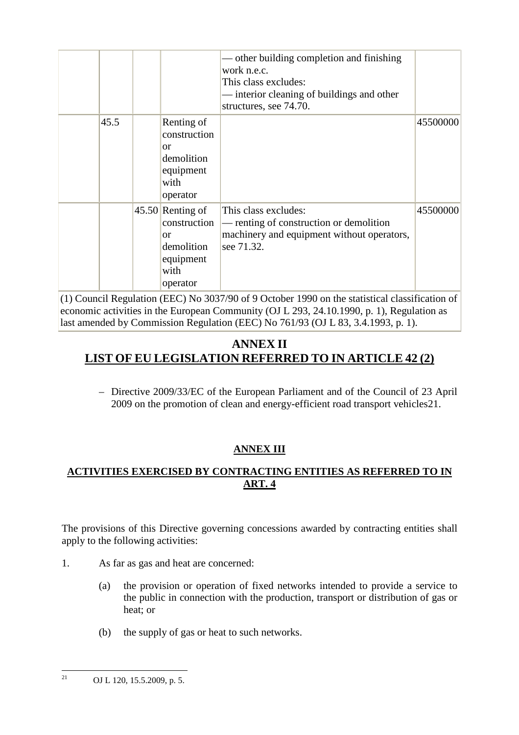|      |                                                                                                    | other building completion and finishing<br>work n.e.c.<br>This class excludes:<br>interior cleaning of buildings and other<br>structures, see 74.70. |          |
|------|----------------------------------------------------------------------------------------------------|------------------------------------------------------------------------------------------------------------------------------------------------------|----------|
| 45.5 | Renting of<br>construction<br><sub>or</sub><br>demolition<br>equipment<br>with<br>operator         |                                                                                                                                                      | 45500000 |
|      | $45.50$ Renting of<br>construction<br><sub>or</sub><br>demolition<br>equipment<br>with<br>operator | This class excludes:<br>— renting of construction or demolition<br>machinery and equipment without operators,<br>see 71.32.                          | 45500000 |

(1) Council Regulation (EEC) No 3037/90 of 9 October 1990 on the statistical classification of economic activities in the European Community (OJ L 293, 24.10.1990, p. 1), Regulation as last amended by Commission Regulation (EEC) No 761/93 (OJ L 83, 3.4.1993, p. 1).

## **ANNEX II LIST OF EU LEGISLATION REFERRED TO IN ARTICLE 42 (2)**

– Directive 2009/33/EC of the European Parliament and of the Council of 23 April 2009 on the promotion of clean and energy-efficient road transport vehicles21.

## **ANNEX III**

## **ACTIVITIES EXERCISED BY CONTRACTING ENTITIES AS REFERRED TO IN ART. 4**

The provisions of this Directive governing concessions awarded by contracting entities shall apply to the following activities:

- 1. As far as gas and heat are concerned:
	- (a) the provision or operation of fixed networks intended to provide a service to the public in connection with the production, transport or distribution of gas or heat; or
	- (b) the supply of gas or heat to such networks.

 $21$ <sup>21</sup> OJ L 120, 15.5.2009, p. 5.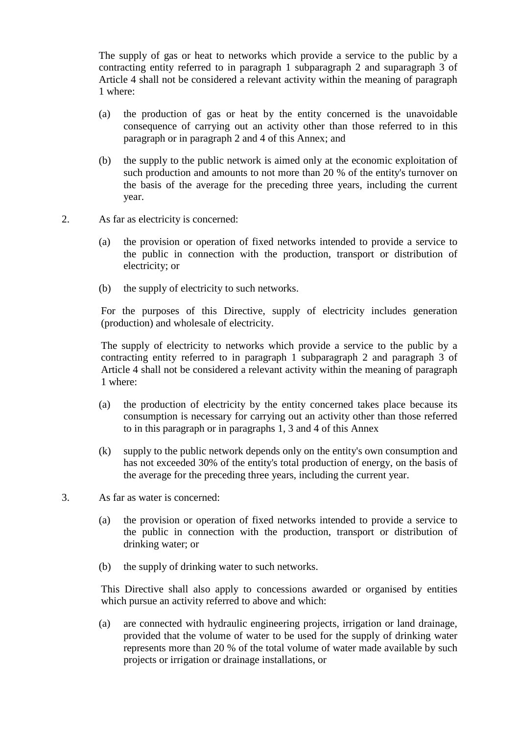The supply of gas or heat to networks which provide a service to the public by a contracting entity referred to in paragraph 1 subparagraph 2 and suparagraph 3 of Article 4 shall not be considered a relevant activity within the meaning of paragraph 1 where:

- (a) the production of gas or heat by the entity concerned is the unavoidable consequence of carrying out an activity other than those referred to in this paragraph or in paragraph 2 and 4 of this Annex; and
- (b) the supply to the public network is aimed only at the economic exploitation of such production and amounts to not more than 20 % of the entity's turnover on the basis of the average for the preceding three years, including the current year.
- 2. As far as electricity is concerned:
	- (a) the provision or operation of fixed networks intended to provide a service to the public in connection with the production, transport or distribution of electricity; or
	- (b) the supply of electricity to such networks.

For the purposes of this Directive, supply of electricity includes generation (production) and wholesale of electricity.

The supply of electricity to networks which provide a service to the public by a contracting entity referred to in paragraph 1 subparagraph 2 and paragraph 3 of Article 4 shall not be considered a relevant activity within the meaning of paragraph 1 where:

- (a) the production of electricity by the entity concerned takes place because its consumption is necessary for carrying out an activity other than those referred to in this paragraph or in paragraphs 1, 3 and 4 of this Annex
- (k) supply to the public network depends only on the entity's own consumption and has not exceeded 30% of the entity's total production of energy, on the basis of the average for the preceding three years, including the current year.
- 3. As far as water is concerned:
	- (a) the provision or operation of fixed networks intended to provide a service to the public in connection with the production, transport or distribution of drinking water; or
	- (b) the supply of drinking water to such networks.

This Directive shall also apply to concessions awarded or organised by entities which pursue an activity referred to above and which:

(a) are connected with hydraulic engineering projects, irrigation or land drainage, provided that the volume of water to be used for the supply of drinking water represents more than 20 % of the total volume of water made available by such projects or irrigation or drainage installations, or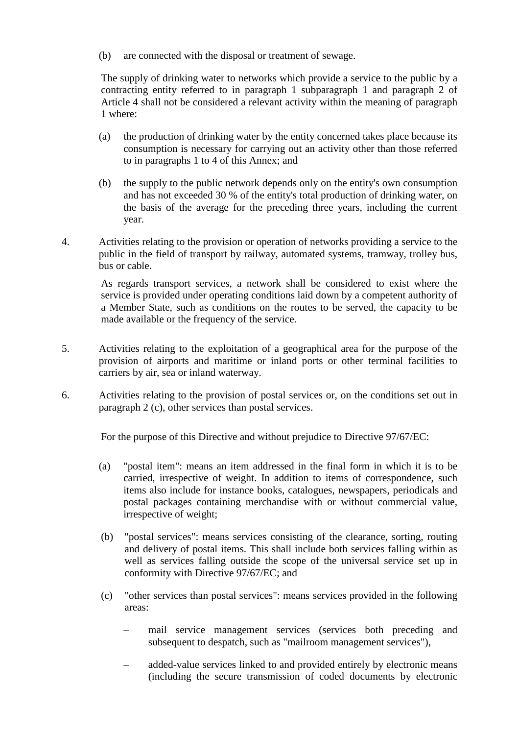(b) are connected with the disposal or treatment of sewage.

The supply of drinking water to networks which provide a service to the public by a contracting entity referred to in paragraph 1 subparagraph 1 and paragraph 2 of Article 4 shall not be considered a relevant activity within the meaning of paragraph 1 where:

- (a) the production of drinking water by the entity concerned takes place because its consumption is necessary for carrying out an activity other than those referred to in paragraphs 1 to 4 of this Annex; and
- (b) the supply to the public network depends only on the entity's own consumption and has not exceeded 30 % of the entity's total production of drinking water, on the basis of the average for the preceding three years, including the current year.
- 4. Activities relating to the provision or operation of networks providing a service to the public in the field of transport by railway, automated systems, tramway, trolley bus, bus or cable.

As regards transport services, a network shall be considered to exist where the service is provided under operating conditions laid down by a competent authority of a Member State, such as conditions on the routes to be served, the capacity to be made available or the frequency of the service.

- 5. Activities relating to the exploitation of a geographical area for the purpose of the provision of airports and maritime or inland ports or other terminal facilities to carriers by air, sea or inland waterway.
- 6. Activities relating to the provision of postal services or, on the conditions set out in paragraph 2 (c), other services than postal services.

For the purpose of this Directive and without prejudice to Directive 97/67/EC:

- (a) "postal item": means an item addressed in the final form in which it is to be carried, irrespective of weight. In addition to items of correspondence, such items also include for instance books, catalogues, newspapers, periodicals and postal packages containing merchandise with or without commercial value, irrespective of weight;
- (b) "postal services": means services consisting of the clearance, sorting, routing and delivery of postal items. This shall include both services falling within as well as services falling outside the scope of the universal service set up in conformity with Directive 97/67/EC; and
- (c) "other services than postal services": means services provided in the following areas:
	- mail service management services (services both preceding and subsequent to despatch, such as "mailroom management services"),
	- added-value services linked to and provided entirely by electronic means (including the secure transmission of coded documents by electronic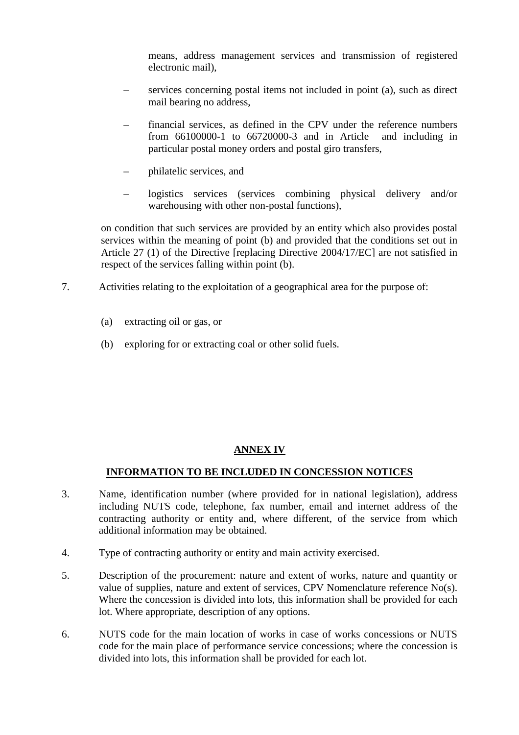means, address management services and transmission of registered electronic mail),

- services concerning postal items not included in point (a), such as direct mail bearing no address,
- financial services, as defined in the CPV under the reference numbers from 66100000-1 to 66720000-3 and in Article and including in particular postal money orders and postal giro transfers,
- philatelic services, and
- logistics services (services combining physical delivery and/or warehousing with other non-postal functions),

on condition that such services are provided by an entity which also provides postal services within the meaning of point (b) and provided that the conditions set out in Article 27 (1) of the Directive [replacing Directive 2004/17/EC] are not satisfied in respect of the services falling within point (b).

- 7. Activities relating to the exploitation of a geographical area for the purpose of:
	- (a) extracting oil or gas, or
	- (b) exploring for or extracting coal or other solid fuels.

## **ANNEX IV**

## **INFORMATION TO BE INCLUDED IN CONCESSION NOTICES**

- 3. Name, identification number (where provided for in national legislation), address including NUTS code, telephone, fax number, email and internet address of the contracting authority or entity and, where different, of the service from which additional information may be obtained.
- 4. Type of contracting authority or entity and main activity exercised.
- 5. Description of the procurement: nature and extent of works, nature and quantity or value of supplies, nature and extent of services, CPV Nomenclature reference No(s). Where the concession is divided into lots, this information shall be provided for each lot. Where appropriate, description of any options.
- 6. NUTS code for the main location of works in case of works concessions or NUTS code for the main place of performance service concessions; where the concession is divided into lots, this information shall be provided for each lot.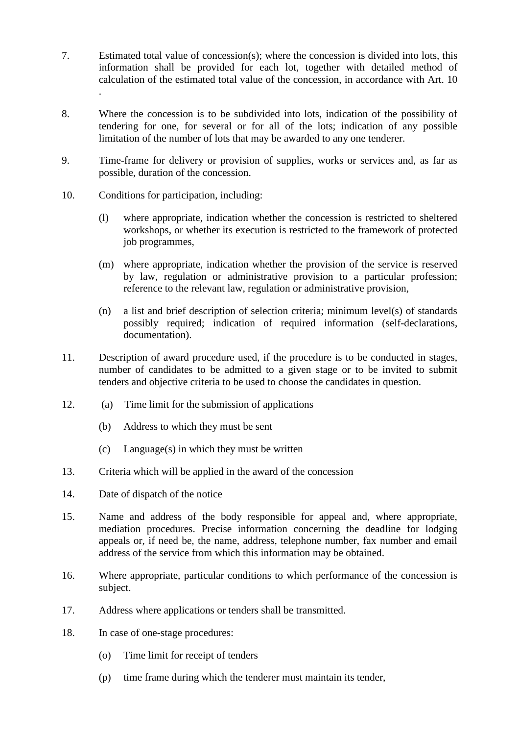- 7. Estimated total value of concession(s); where the concession is divided into lots, this information shall be provided for each lot, together with detailed method of calculation of the estimated total value of the concession, in accordance with Art. 10 .
- 8. Where the concession is to be subdivided into lots, indication of the possibility of tendering for one, for several or for all of the lots; indication of any possible limitation of the number of lots that may be awarded to any one tenderer.
- 9. Time-frame for delivery or provision of supplies, works or services and, as far as possible, duration of the concession.
- 10. Conditions for participation, including:
	- (l) where appropriate, indication whether the concession is restricted to sheltered workshops, or whether its execution is restricted to the framework of protected job programmes,
	- (m) where appropriate, indication whether the provision of the service is reserved by law, regulation or administrative provision to a particular profession; reference to the relevant law, regulation or administrative provision,
	- (n) a list and brief description of selection criteria; minimum level(s) of standards possibly required; indication of required information (self-declarations, documentation).
- 11. Description of award procedure used, if the procedure is to be conducted in stages, number of candidates to be admitted to a given stage or to be invited to submit tenders and objective criteria to be used to choose the candidates in question.
- 12. (a) Time limit for the submission of applications
	- (b) Address to which they must be sent
	- (c) Language(s) in which they must be written
- 13. Criteria which will be applied in the award of the concession
- 14. Date of dispatch of the notice
- 15. Name and address of the body responsible for appeal and, where appropriate, mediation procedures. Precise information concerning the deadline for lodging appeals or, if need be, the name, address, telephone number, fax number and email address of the service from which this information may be obtained.
- 16. Where appropriate, particular conditions to which performance of the concession is subject.
- 17. Address where applications or tenders shall be transmitted.
- 18. In case of one-stage procedures:
	- (o) Time limit for receipt of tenders
	- (p) time frame during which the tenderer must maintain its tender,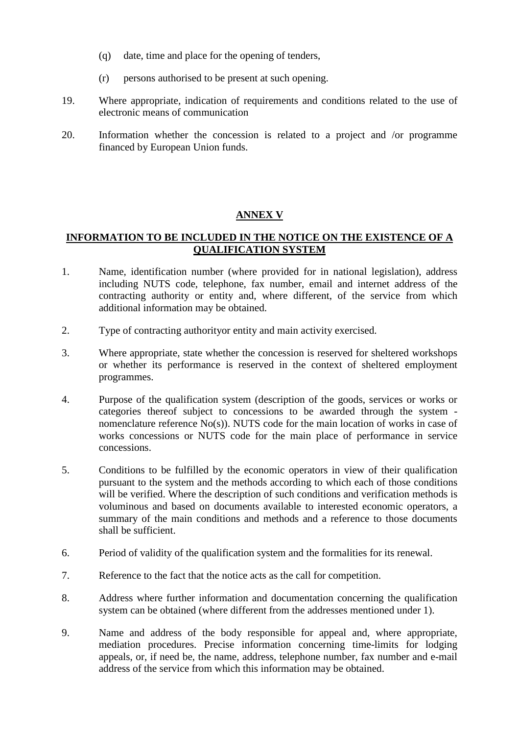- (q) date, time and place for the opening of tenders,
- (r) persons authorised to be present at such opening.
- 19. Where appropriate, indication of requirements and conditions related to the use of electronic means of communication
- 20. Information whether the concession is related to a project and /or programme financed by European Union funds.

## **ANNEX V**

## **INFORMATION TO BE INCLUDED IN THE NOTICE ON THE EXISTENCE OF A QUALIFICATION SYSTEM**

- 1. Name, identification number (where provided for in national legislation), address including NUTS code, telephone, fax number, email and internet address of the contracting authority or entity and, where different, of the service from which additional information may be obtained.
- 2. Type of contracting authorityor entity and main activity exercised.
- 3. Where appropriate, state whether the concession is reserved for sheltered workshops or whether its performance is reserved in the context of sheltered employment programmes.
- 4. Purpose of the qualification system (description of the goods, services or works or categories thereof subject to concessions to be awarded through the system nomenclature reference No(s)). NUTS code for the main location of works in case of works concessions or NUTS code for the main place of performance in service concessions.
- 5. Conditions to be fulfilled by the economic operators in view of their qualification pursuant to the system and the methods according to which each of those conditions will be verified. Where the description of such conditions and verification methods is voluminous and based on documents available to interested economic operators, a summary of the main conditions and methods and a reference to those documents shall be sufficient.
- 6. Period of validity of the qualification system and the formalities for its renewal.
- 7. Reference to the fact that the notice acts as the call for competition.
- 8. Address where further information and documentation concerning the qualification system can be obtained (where different from the addresses mentioned under 1).
- 9. Name and address of the body responsible for appeal and, where appropriate, mediation procedures. Precise information concerning time-limits for lodging appeals, or, if need be, the name, address, telephone number, fax number and e-mail address of the service from which this information may be obtained.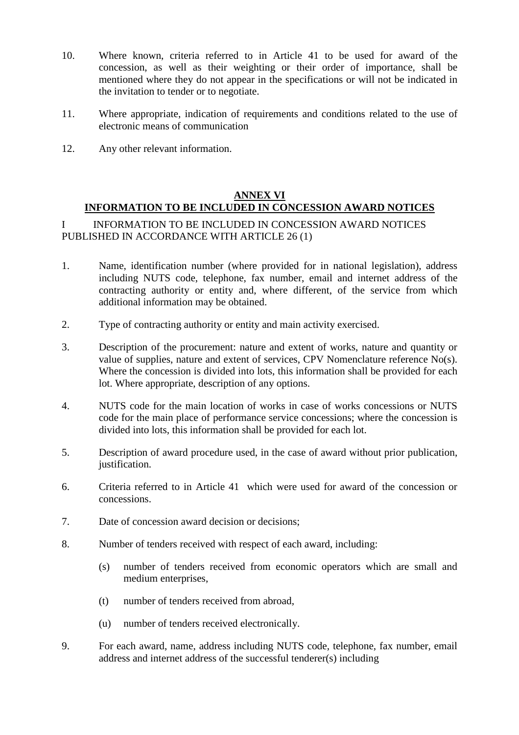- 10. Where known, criteria referred to in Article 41 to be used for award of the concession, as well as their weighting or their order of importance, shall be mentioned where they do not appear in the specifications or will not be indicated in the invitation to tender or to negotiate.
- 11. Where appropriate, indication of requirements and conditions related to the use of electronic means of communication
- 12. Any other relevant information.

## **ANNEX VI INFORMATION TO BE INCLUDED IN CONCESSION AWARD NOTICES**

I INFORMATION TO BE INCLUDED IN CONCESSION AWARD NOTICES PUBLISHED IN ACCORDANCE WITH ARTICLE 26 (1)

- 1. Name, identification number (where provided for in national legislation), address including NUTS code, telephone, fax number, email and internet address of the contracting authority or entity and, where different, of the service from which additional information may be obtained.
- 2. Type of contracting authority or entity and main activity exercised.
- 3. Description of the procurement: nature and extent of works, nature and quantity or value of supplies, nature and extent of services, CPV Nomenclature reference No(s). Where the concession is divided into lots, this information shall be provided for each lot. Where appropriate, description of any options.
- 4. NUTS code for the main location of works in case of works concessions or NUTS code for the main place of performance service concessions; where the concession is divided into lots, this information shall be provided for each lot.
- 5. Description of award procedure used, in the case of award without prior publication, justification.
- 6. Criteria referred to in Article 41 which were used for award of the concession or concessions.
- 7. Date of concession award decision or decisions;
- 8. Number of tenders received with respect of each award, including:
	- (s) number of tenders received from economic operators which are small and medium enterprises,
	- (t) number of tenders received from abroad,
	- (u) number of tenders received electronically.
- 9. For each award, name, address including NUTS code, telephone, fax number, email address and internet address of the successful tenderer(s) including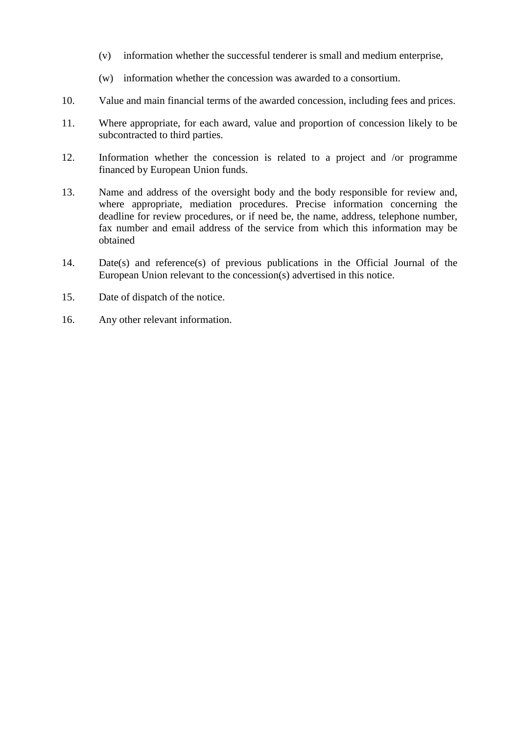- (v) information whether the successful tenderer is small and medium enterprise,
- (w) information whether the concession was awarded to a consortium.
- 10. Value and main financial terms of the awarded concession, including fees and prices.
- 11. Where appropriate, for each award, value and proportion of concession likely to be subcontracted to third parties.
- 12. Information whether the concession is related to a project and /or programme financed by European Union funds.
- 13. Name and address of the oversight body and the body responsible for review and, where appropriate, mediation procedures. Precise information concerning the deadline for review procedures, or if need be, the name, address, telephone number, fax number and email address of the service from which this information may be obtained
- 14. Date(s) and reference(s) of previous publications in the Official Journal of the European Union relevant to the concession(s) advertised in this notice.
- 15. Date of dispatch of the notice.
- 16. Any other relevant information.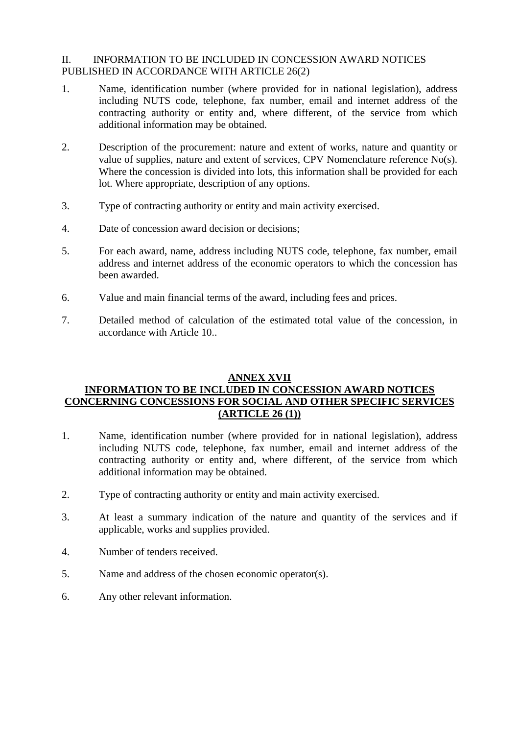## II. INFORMATION TO BE INCLUDED IN CONCESSION AWARD NOTICES PUBLISHED IN ACCORDANCE WITH ARTICLE 26(2)

- 1. Name, identification number (where provided for in national legislation), address including NUTS code, telephone, fax number, email and internet address of the contracting authority or entity and, where different, of the service from which additional information may be obtained.
- 2. Description of the procurement: nature and extent of works, nature and quantity or value of supplies, nature and extent of services, CPV Nomenclature reference No(s). Where the concession is divided into lots, this information shall be provided for each lot. Where appropriate, description of any options.
- 3. Type of contracting authority or entity and main activity exercised.
- 4. Date of concession award decision or decisions;
- 5. For each award, name, address including NUTS code, telephone, fax number, email address and internet address of the economic operators to which the concession has been awarded.
- 6. Value and main financial terms of the award, including fees and prices.
- 7. Detailed method of calculation of the estimated total value of the concession, in accordance with Article 10..

#### **ANNEX XVII**

## **INFORMATION TO BE INCLUDED IN CONCESSION AWARD NOTICES CONCERNING CONCESSIONS FOR SOCIAL AND OTHER SPECIFIC SERVICES (ARTICLE 26 (1))**

- 1. Name, identification number (where provided for in national legislation), address including NUTS code, telephone, fax number, email and internet address of the contracting authority or entity and, where different, of the service from which additional information may be obtained.
- 2. Type of contracting authority or entity and main activity exercised.
- 3. At least a summary indication of the nature and quantity of the services and if applicable, works and supplies provided.
- 4. Number of tenders received.
- 5. Name and address of the chosen economic operator(s).
- 6. Any other relevant information.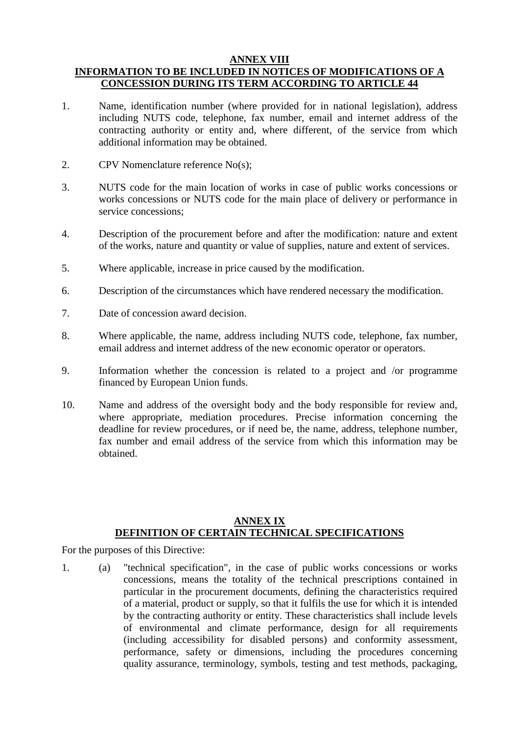## **ANNEX VIII INFORMATION TO BE INCLUDED IN NOTICES OF MODIFICATIONS OF A CONCESSION DURING ITS TERM ACCORDING TO ARTICLE 44**

- 1. Name, identification number (where provided for in national legislation), address including NUTS code, telephone, fax number, email and internet address of the contracting authority or entity and, where different, of the service from which additional information may be obtained.
- 2. CPV Nomenclature reference No(s);
- 3. NUTS code for the main location of works in case of public works concessions or works concessions or NUTS code for the main place of delivery or performance in service concessions;
- 4. Description of the procurement before and after the modification: nature and extent of the works, nature and quantity or value of supplies, nature and extent of services.
- 5. Where applicable, increase in price caused by the modification.
- 6. Description of the circumstances which have rendered necessary the modification.
- 7. Date of concession award decision.
- 8. Where applicable, the name, address including NUTS code, telephone, fax number, email address and internet address of the new economic operator or operators.
- 9. Information whether the concession is related to a project and /or programme financed by European Union funds.
- 10. Name and address of the oversight body and the body responsible for review and, where appropriate, mediation procedures. Precise information concerning the deadline for review procedures, or if need be, the name, address, telephone number, fax number and email address of the service from which this information may be obtained.

## **ANNEX IX DEFINITION OF CERTAIN TECHNICAL SPECIFICATIONS**

For the purposes of this Directive:

1. (a) "technical specification", in the case of public works concessions or works concessions, means the totality of the technical prescriptions contained in particular in the procurement documents, defining the characteristics required of a material, product or supply, so that it fulfils the use for which it is intended by the contracting authority or entity. These characteristics shall include levels of environmental and climate performance, design for all requirements (including accessibility for disabled persons) and conformity assessment, performance, safety or dimensions, including the procedures concerning quality assurance, terminology, symbols, testing and test methods, packaging,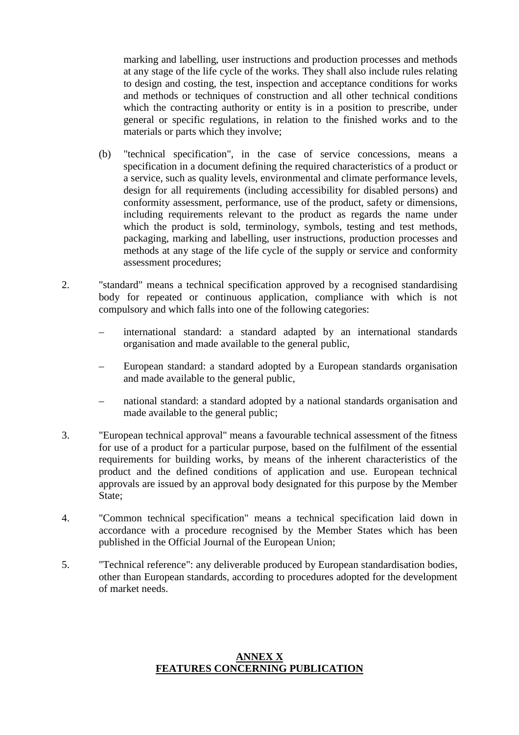marking and labelling, user instructions and production processes and methods at any stage of the life cycle of the works. They shall also include rules relating to design and costing, the test, inspection and acceptance conditions for works and methods or techniques of construction and all other technical conditions which the contracting authority or entity is in a position to prescribe, under general or specific regulations, in relation to the finished works and to the materials or parts which they involve;

- (b) "technical specification", in the case of service concessions, means a specification in a document defining the required characteristics of a product or a service, such as quality levels, environmental and climate performance levels, design for all requirements (including accessibility for disabled persons) and conformity assessment, performance, use of the product, safety or dimensions, including requirements relevant to the product as regards the name under which the product is sold, terminology, symbols, testing and test methods, packaging, marking and labelling, user instructions, production processes and methods at any stage of the life cycle of the supply or service and conformity assessment procedures;
- 2. "standard" means a technical specification approved by a recognised standardising body for repeated or continuous application, compliance with which is not compulsory and which falls into one of the following categories:
	- international standard: a standard adapted by an international standards organisation and made available to the general public,
	- European standard: a standard adopted by a European standards organisation and made available to the general public,
	- national standard: a standard adopted by a national standards organisation and made available to the general public;
- 3. "European technical approval" means a favourable technical assessment of the fitness for use of a product for a particular purpose, based on the fulfilment of the essential requirements for building works, by means of the inherent characteristics of the product and the defined conditions of application and use. European technical approvals are issued by an approval body designated for this purpose by the Member State;
- 4. "Common technical specification" means a technical specification laid down in accordance with a procedure recognised by the Member States which has been published in the Official Journal of the European Union;
- 5. "Technical reference": any deliverable produced by European standardisation bodies, other than European standards, according to procedures adopted for the development of market needs.

#### **ANNEX X FEATURES CONCERNING PUBLICATION**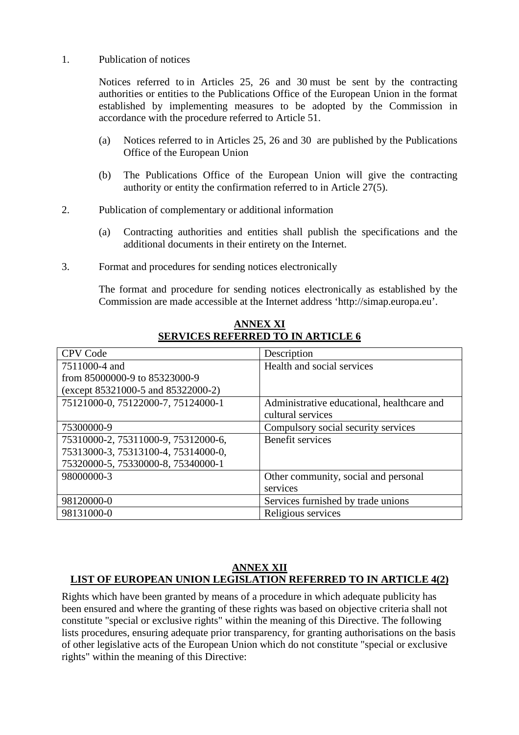#### 1. Publication of notices

Notices referred to in Articles 25, 26 and 30 must be sent by the contracting authorities or entities to the Publications Office of the European Union in the format established by implementing measures to be adopted by the Commission in accordance with the procedure referred to Article 51.

- (a) Notices referred to in Articles 25, 26 and 30 are published by the Publications Office of the European Union
- (b) The Publications Office of the European Union will give the contracting authority or entity the confirmation referred to in Article 27(5).
- 2. Publication of complementary or additional information
	- (a) Contracting authorities and entities shall publish the specifications and the additional documents in their entirety on the Internet.
- 3. Format and procedures for sending notices electronically

The format and procedure for sending notices electronically as established by the Commission are made accessible at the Internet address 'http://simap.europa.eu'.

| <b>CPV Code</b>                     | Description                                |
|-------------------------------------|--------------------------------------------|
| 7511000-4 and                       | Health and social services                 |
| from 85000000-9 to 85323000-9       |                                            |
| (except 85321000-5 and 85322000-2)  |                                            |
| 75121000-0, 75122000-7, 75124000-1  | Administrative educational, healthcare and |
|                                     | cultural services                          |
| 75300000-9                          | Compulsory social security services        |
| 75310000-2, 75311000-9, 75312000-6, | Benefit services                           |
| 75313000-3, 75313100-4, 75314000-0, |                                            |
| 75320000-5, 75330000-8, 75340000-1  |                                            |
| 98000000-3                          | Other community, social and personal       |
|                                     | services                                   |
| 98120000-0                          | Services furnished by trade unions         |
| 98131000-0                          | Religious services                         |

**ANNEX XI SERVICES REFERRED TO IN ARTICLE 6**

## **ANNEX XII LIST OF EUROPEAN UNION LEGISLATION REFERRED TO IN ARTICLE 4(2)**

Rights which have been granted by means of a procedure in which adequate publicity has been ensured and where the granting of these rights was based on objective criteria shall not constitute "special or exclusive rights" within the meaning of this Directive. The following lists procedures, ensuring adequate prior transparency, for granting authorisations on the basis of other legislative acts of the European Union which do not constitute "special or exclusive rights" within the meaning of this Directive: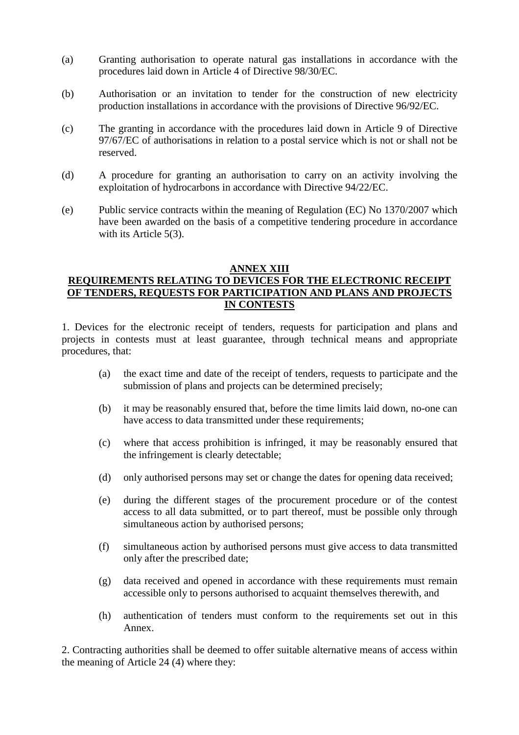- (a) Granting authorisation to operate natural gas installations in accordance with the procedures laid down in Article 4 of Directive 98/30/EC.
- (b) Authorisation or an invitation to tender for the construction of new electricity production installations in accordance with the provisions of Directive 96/92/EC.
- (c) The granting in accordance with the procedures laid down in Article 9 of Directive 97/67/EC of authorisations in relation to a postal service which is not or shall not be reserved.
- (d) A procedure for granting an authorisation to carry on an activity involving the exploitation of hydrocarbons in accordance with Directive 94/22/EC.
- (e) Public service contracts within the meaning of Regulation (EC) No 1370/2007 which have been awarded on the basis of a competitive tendering procedure in accordance with its Article 5(3).

#### **ANNEX XIII**

## **REQUIREMENTS RELATING TO DEVICES FOR THE ELECTRONIC RECEIPT OF TENDERS, REQUESTS FOR PARTICIPATION AND PLANS AND PROJECTS IN CONTESTS**

1. Devices for the electronic receipt of tenders, requests for participation and plans and projects in contests must at least guarantee, through technical means and appropriate procedures, that:

- (a) the exact time and date of the receipt of tenders, requests to participate and the submission of plans and projects can be determined precisely;
- (b) it may be reasonably ensured that, before the time limits laid down, no-one can have access to data transmitted under these requirements;
- (c) where that access prohibition is infringed, it may be reasonably ensured that the infringement is clearly detectable;
- (d) only authorised persons may set or change the dates for opening data received;
- (e) during the different stages of the procurement procedure or of the contest access to all data submitted, or to part thereof, must be possible only through simultaneous action by authorised persons;
- (f) simultaneous action by authorised persons must give access to data transmitted only after the prescribed date;
- (g) data received and opened in accordance with these requirements must remain accessible only to persons authorised to acquaint themselves therewith, and
- (h) authentication of tenders must conform to the requirements set out in this Annex.

2. Contracting authorities shall be deemed to offer suitable alternative means of access within the meaning of Article 24 (4) where they: